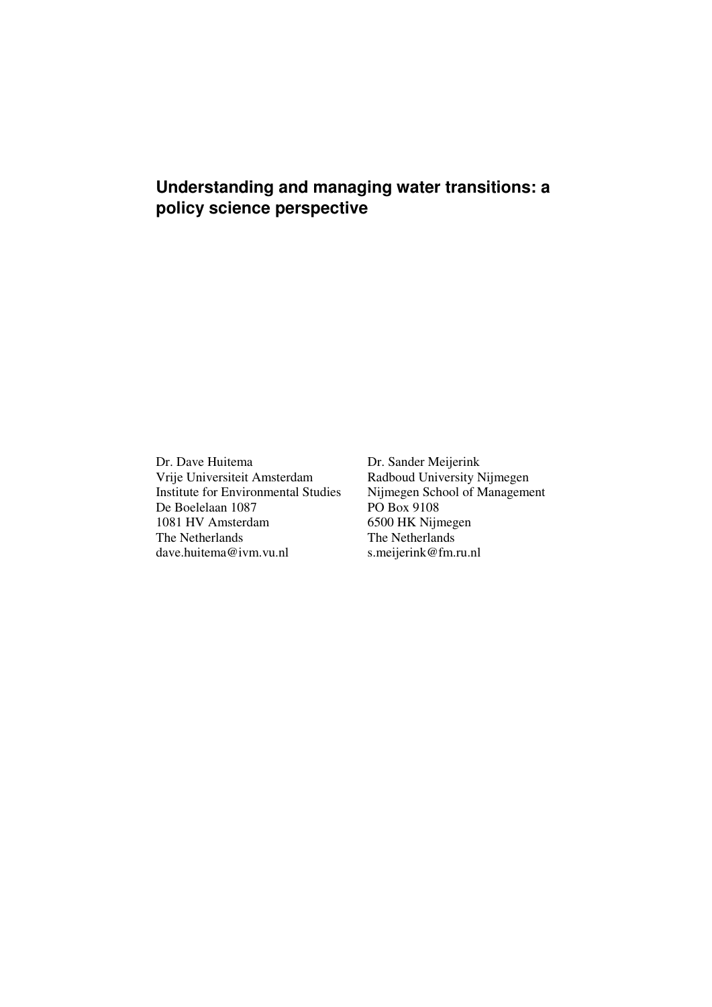# **Understanding and managing water transitions: a policy science perspective**

Dr. Dave Huitema Dr. Sander Meijerink Vrije Universiteit Amsterdam Radboud University Nijmegen<br>
Institute for Environmental Studies Nijmegen School of Management Institute for Environmental Studies Nijmegen School Of Managemental Studies PO Box 9108 De Boelelaan 1087 PO Box 9108<br>1081 HV Amsterdam 6500 HK Nijmegen 1081 HV Amsterdam<br>The Netherlands dave.huitema@ivm.vu.nl

The Netherlands<br>s.meijerink@fm.ru.nl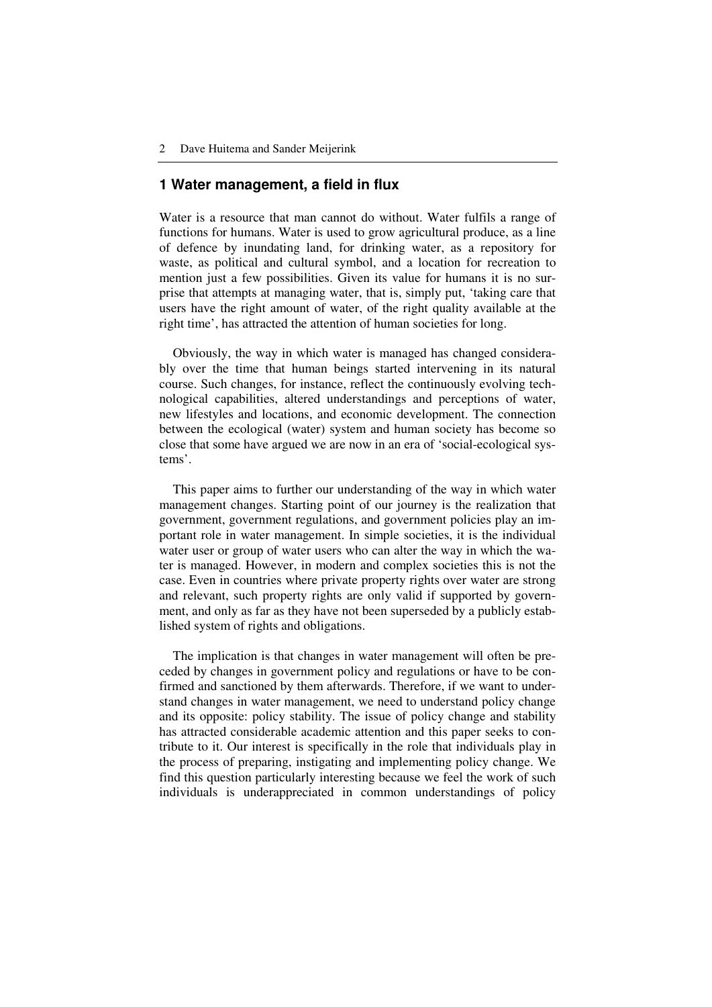### **1 Water management, a field in flux**

Water is a resource that man cannot do without. Water fulfils a range of functions for humans. Water is used to grow agricultural produce, as a line of defence by inundating land, for drinking water, as a repository for waste, as political and cultural symbol, and a location for recreation to mention just a few possibilities. Given its value for humans it is no surprise that attempts at managing water, that is, simply put, 'taking care that users have the right amount of water, of the right quality available at the right time', has attracted the attention of human societies for long.

Obviously, the way in which water is managed has changed considerably over the time that human beings started intervening in its natural course. Such changes, for instance, reflect the continuously evolving technological capabilities, altered understandings and perceptions of water, new lifestyles and locations, and economic development. The connection between the ecological (water) system and human society has become so close that some have argued we are now in an era of 'social-ecological systems'.

This paper aims to further our understanding of the way in which water management changes. Starting point of our journey is the realization that government, government regulations, and government policies play an important role in water management. In simple societies, it is the individual water user or group of water users who can alter the way in which the water is managed. However, in modern and complex societies this is not the case. Even in countries where private property rights over water are strong and relevant, such property rights are only valid if supported by government, and only as far as they have not been superseded by a publicly established system of rights and obligations.

The implication is that changes in water management will often be preceded by changes in government policy and regulations or have to be confirmed and sanctioned by them afterwards. Therefore, if we want to understand changes in water management, we need to understand policy change and its opposite: policy stability. The issue of policy change and stability has attracted considerable academic attention and this paper seeks to contribute to it. Our interest is specifically in the role that individuals play in the process of preparing, instigating and implementing policy change. We find this question particularly interesting because we feel the work of such individuals is underappreciated in common understandings of policy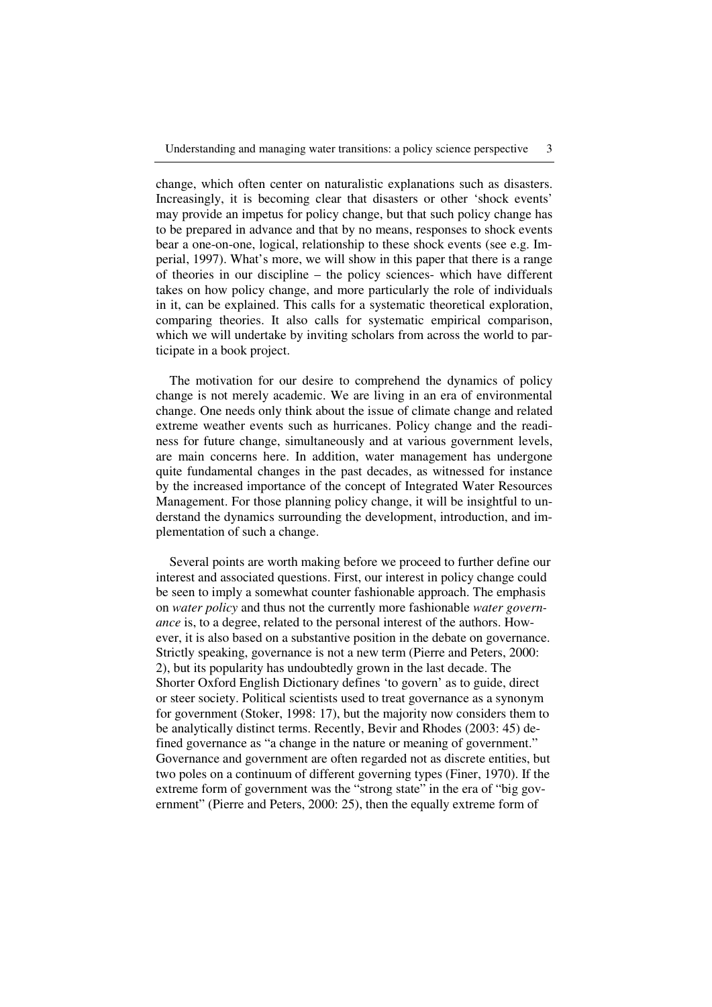change, which often center on naturalistic explanations such as disasters. Increasingly, it is becoming clear that disasters or other 'shock events' may provide an impetus for policy change, but that such policy change has to be prepared in advance and that by no means, responses to shock events bear a one-on-one, logical, relationship to these shock events (see e.g. Imperial, 1997). What's more, we will show in this paper that there is a range of theories in our discipline – the policy sciences- which have different takes on how policy change, and more particularly the role of individuals in it, can be explained. This calls for a systematic theoretical exploration, comparing theories. It also calls for systematic empirical comparison, which we will undertake by inviting scholars from across the world to participate in a book project.

The motivation for our desire to comprehend the dynamics of policy change is not merely academic. We are living in an era of environmental change. One needs only think about the issue of climate change and related extreme weather events such as hurricanes. Policy change and the readiness for future change, simultaneously and at various government levels, are main concerns here. In addition, water management has undergone quite fundamental changes in the past decades, as witnessed for instance by the increased importance of the concept of Integrated Water Resources Management. For those planning policy change, it will be insightful to understand the dynamics surrounding the development, introduction, and implementation of such a change.

Several points are worth making before we proceed to further define our interest and associated questions. First, our interest in policy change could be seen to imply a somewhat counter fashionable approach. The emphasis on *water policy* and thus not the currently more fashionable *water governance* is, to a degree, related to the personal interest of the authors. However, it is also based on a substantive position in the debate on governance. Strictly speaking, governance is not a new term (Pierre and Peters, 2000: 2), but its popularity has undoubtedly grown in the last decade. The Shorter Oxford English Dictionary defines 'to govern' as to guide, direct or steer society. Political scientists used to treat governance as a synonym for government (Stoker, 1998: 17), but the majority now considers them to be analytically distinct terms. Recently, Bevir and Rhodes (2003: 45) defined governance as "a change in the nature or meaning of government." Governance and government are often regarded not as discrete entities, but two poles on a continuum of different governing types (Finer, 1970). If the extreme form of government was the "strong state" in the era of "big government" (Pierre and Peters, 2000: 25), then the equally extreme form of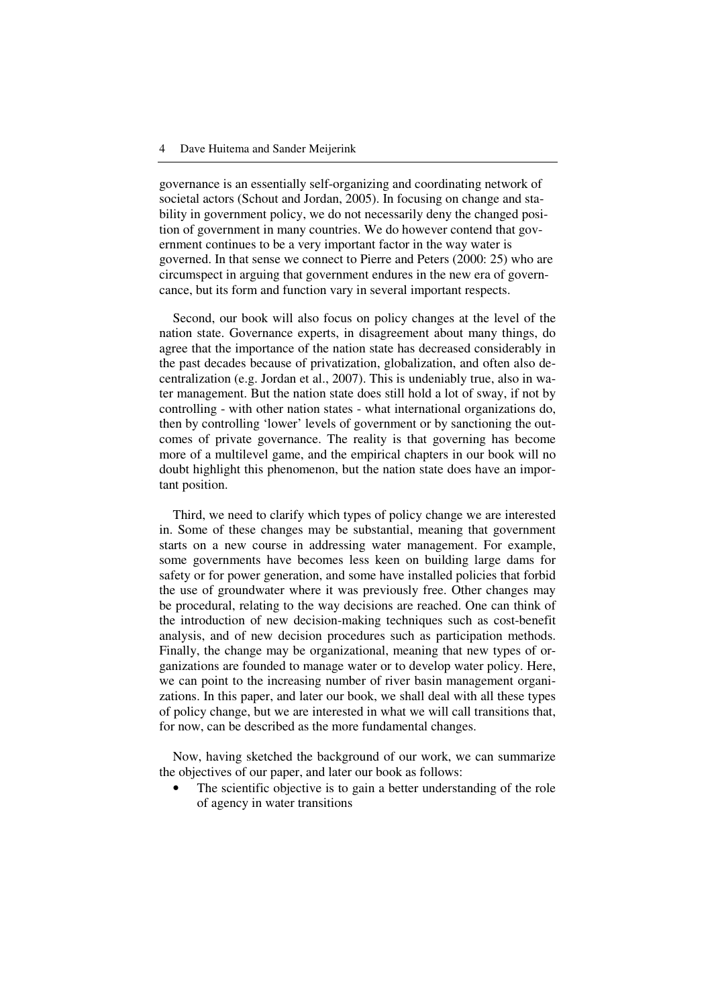governance is an essentially self-organizing and coordinating network of societal actors (Schout and Jordan, 2005). In focusing on change and stability in government policy, we do not necessarily deny the changed position of government in many countries. We do however contend that government continues to be a very important factor in the way water is governed. In that sense we connect to Pierre and Peters (2000: 25) who are circumspect in arguing that government endures in the new era of governcance, but its form and function vary in several important respects.

Second, our book will also focus on policy changes at the level of the nation state. Governance experts, in disagreement about many things, do agree that the importance of the nation state has decreased considerably in the past decades because of privatization, globalization, and often also decentralization (e.g. Jordan et al., 2007). This is undeniably true, also in water management. But the nation state does still hold a lot of sway, if not by controlling - with other nation states - what international organizations do, then by controlling 'lower' levels of government or by sanctioning the outcomes of private governance. The reality is that governing has become more of a multilevel game, and the empirical chapters in our book will no doubt highlight this phenomenon, but the nation state does have an important position.

Third, we need to clarify which types of policy change we are interested in. Some of these changes may be substantial, meaning that government starts on a new course in addressing water management. For example, some governments have becomes less keen on building large dams for safety or for power generation, and some have installed policies that forbid the use of groundwater where it was previously free. Other changes may be procedural, relating to the way decisions are reached. One can think of the introduction of new decision-making techniques such as cost-benefit analysis, and of new decision procedures such as participation methods. Finally, the change may be organizational, meaning that new types of organizations are founded to manage water or to develop water policy. Here, we can point to the increasing number of river basin management organizations. In this paper, and later our book, we shall deal with all these types of policy change, but we are interested in what we will call transitions that, for now, can be described as the more fundamental changes.

Now, having sketched the background of our work, we can summarize the objectives of our paper, and later our book as follows:

The scientific objective is to gain a better understanding of the role of agency in water transitions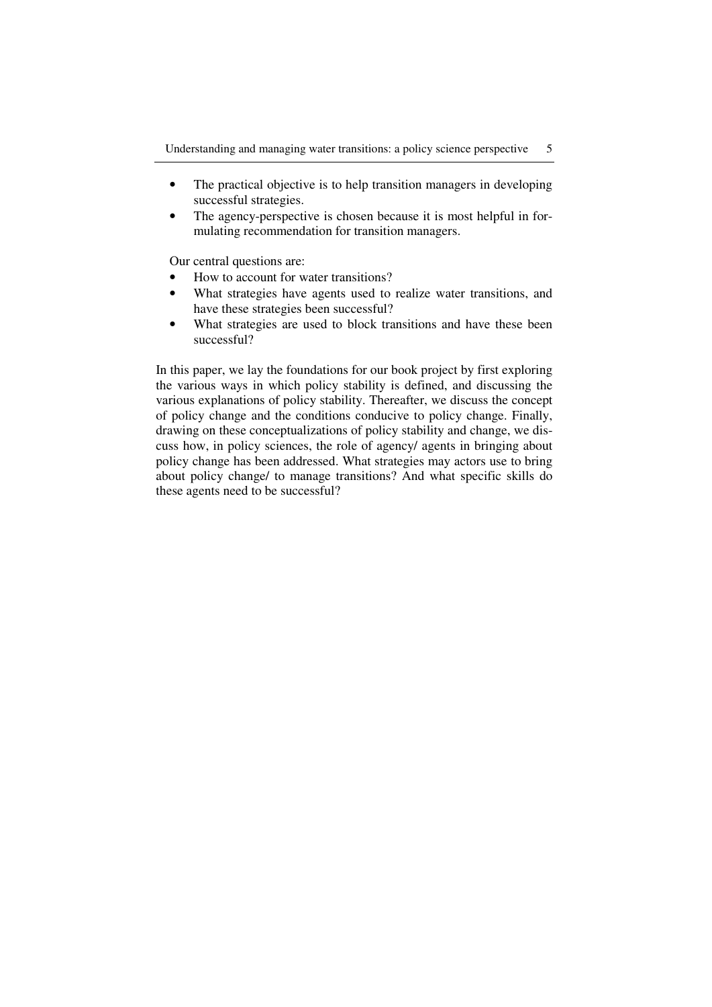- The practical objective is to help transition managers in developing successful strategies.
- The agency-perspective is chosen because it is most helpful in formulating recommendation for transition managers.

Our central questions are:

- How to account for water transitions?
- What strategies have agents used to realize water transitions, and have these strategies been successful?
- What strategies are used to block transitions and have these been successful?

In this paper, we lay the foundations for our book project by first exploring the various ways in which policy stability is defined, and discussing the various explanations of policy stability. Thereafter, we discuss the concept of policy change and the conditions conducive to policy change. Finally, drawing on these conceptualizations of policy stability and change, we discuss how, in policy sciences, the role of agency/ agents in bringing about policy change has been addressed. What strategies may actors use to bring about policy change/ to manage transitions? And what specific skills do these agents need to be successful?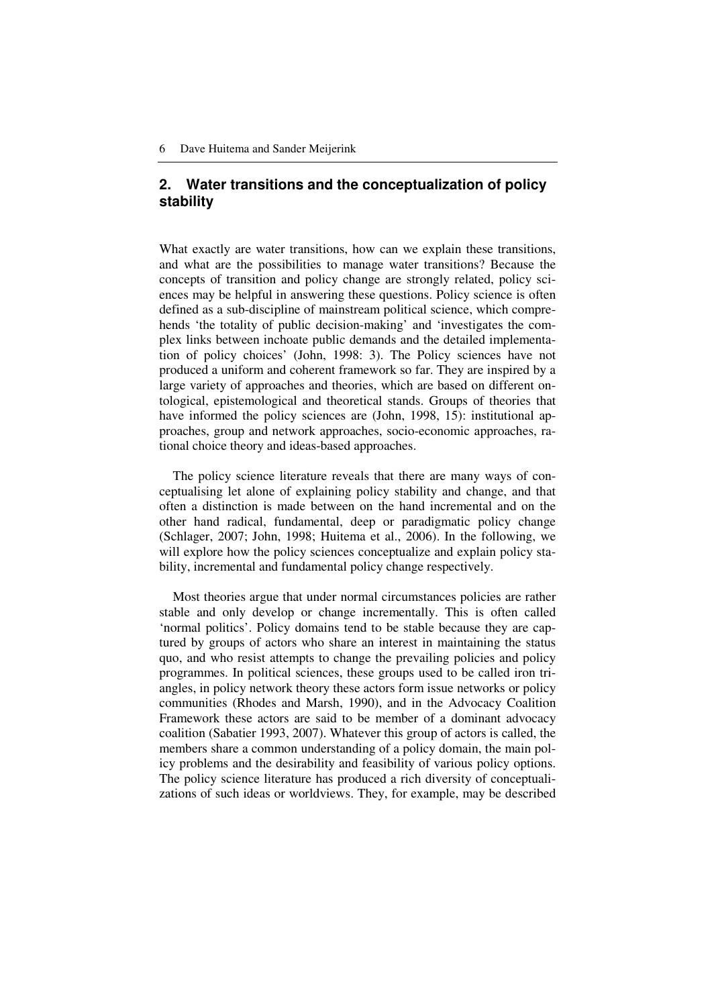# **2. Water transitions and the conceptualization of policy stability**

What exactly are water transitions, how can we explain these transitions, and what are the possibilities to manage water transitions? Because the concepts of transition and policy change are strongly related, policy sciences may be helpful in answering these questions. Policy science is often defined as a sub-discipline of mainstream political science, which comprehends 'the totality of public decision-making' and 'investigates the complex links between inchoate public demands and the detailed implementation of policy choices' (John, 1998: 3). The Policy sciences have not produced a uniform and coherent framework so far. They are inspired by a large variety of approaches and theories, which are based on different ontological, epistemological and theoretical stands. Groups of theories that have informed the policy sciences are (John, 1998, 15): institutional approaches, group and network approaches, socio-economic approaches, rational choice theory and ideas-based approaches.

The policy science literature reveals that there are many ways of conceptualising let alone of explaining policy stability and change, and that often a distinction is made between on the hand incremental and on the other hand radical, fundamental, deep or paradigmatic policy change (Schlager, 2007; John, 1998; Huitema et al., 2006). In the following, we will explore how the policy sciences conceptualize and explain policy stability, incremental and fundamental policy change respectively.

Most theories argue that under normal circumstances policies are rather stable and only develop or change incrementally. This is often called 'normal politics'. Policy domains tend to be stable because they are captured by groups of actors who share an interest in maintaining the status quo, and who resist attempts to change the prevailing policies and policy programmes. In political sciences, these groups used to be called iron triangles, in policy network theory these actors form issue networks or policy communities (Rhodes and Marsh, 1990), and in the Advocacy Coalition Framework these actors are said to be member of a dominant advocacy coalition (Sabatier 1993, 2007). Whatever this group of actors is called, the members share a common understanding of a policy domain, the main policy problems and the desirability and feasibility of various policy options. The policy science literature has produced a rich diversity of conceptualizations of such ideas or worldviews. They, for example, may be described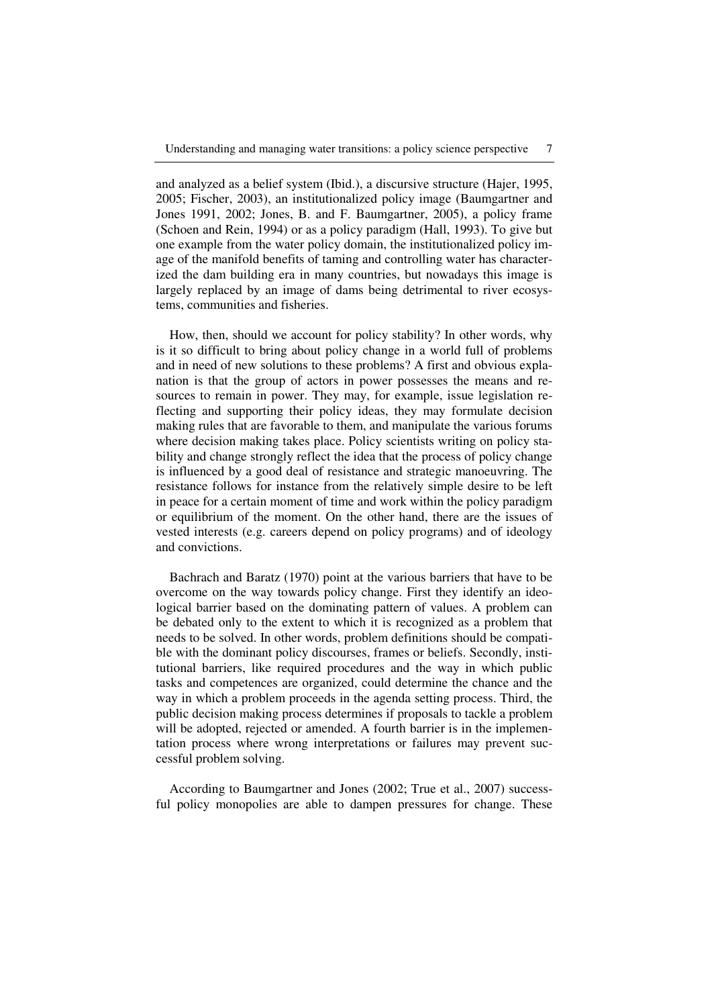and analyzed as a belief system (Ibid.), a discursive structure (Hajer, 1995, 2005; Fischer, 2003), an institutionalized policy image (Baumgartner and Jones 1991, 2002; Jones, B. and F. Baumgartner, 2005), a policy frame (Schoen and Rein, 1994) or as a policy paradigm (Hall, 1993). To give but one example from the water policy domain, the institutionalized policy image of the manifold benefits of taming and controlling water has characterized the dam building era in many countries, but nowadays this image is largely replaced by an image of dams being detrimental to river ecosystems, communities and fisheries.

How, then, should we account for policy stability? In other words, why is it so difficult to bring about policy change in a world full of problems and in need of new solutions to these problems? A first and obvious explanation is that the group of actors in power possesses the means and resources to remain in power. They may, for example, issue legislation reflecting and supporting their policy ideas, they may formulate decision making rules that are favorable to them, and manipulate the various forums where decision making takes place. Policy scientists writing on policy stability and change strongly reflect the idea that the process of policy change is influenced by a good deal of resistance and strategic manoeuvring. The resistance follows for instance from the relatively simple desire to be left in peace for a certain moment of time and work within the policy paradigm or equilibrium of the moment. On the other hand, there are the issues of vested interests (e.g. careers depend on policy programs) and of ideology and convictions.

Bachrach and Baratz (1970) point at the various barriers that have to be overcome on the way towards policy change. First they identify an ideological barrier based on the dominating pattern of values. A problem can be debated only to the extent to which it is recognized as a problem that needs to be solved. In other words, problem definitions should be compatible with the dominant policy discourses, frames or beliefs. Secondly, institutional barriers, like required procedures and the way in which public tasks and competences are organized, could determine the chance and the way in which a problem proceeds in the agenda setting process. Third, the public decision making process determines if proposals to tackle a problem will be adopted, rejected or amended. A fourth barrier is in the implementation process where wrong interpretations or failures may prevent successful problem solving.

According to Baumgartner and Jones (2002; True et al., 2007) successful policy monopolies are able to dampen pressures for change. These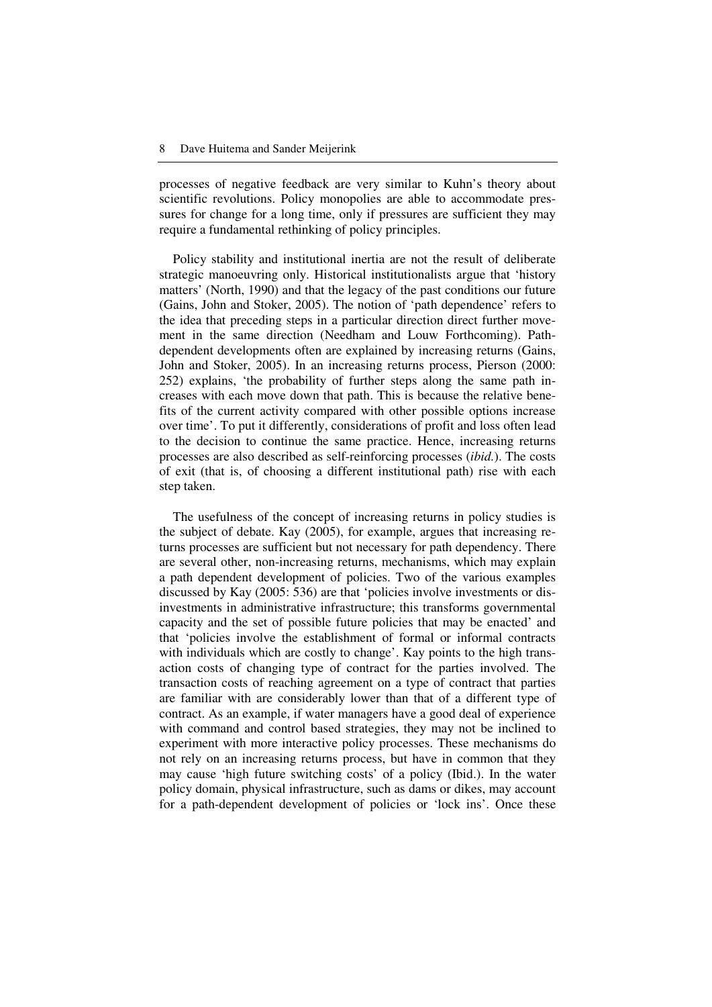processes of negative feedback are very similar to Kuhn's theory about scientific revolutions. Policy monopolies are able to accommodate pressures for change for a long time, only if pressures are sufficient they may require a fundamental rethinking of policy principles.

Policy stability and institutional inertia are not the result of deliberate strategic manoeuvring only. Historical institutionalists argue that 'history matters' (North, 1990) and that the legacy of the past conditions our future (Gains, John and Stoker, 2005). The notion of 'path dependence' refers to the idea that preceding steps in a particular direction direct further movement in the same direction (Needham and Louw Forthcoming). Pathdependent developments often are explained by increasing returns (Gains, John and Stoker, 2005). In an increasing returns process, Pierson (2000: 252) explains, 'the probability of further steps along the same path increases with each move down that path. This is because the relative benefits of the current activity compared with other possible options increase over time'. To put it differently, considerations of profit and loss often lead to the decision to continue the same practice. Hence, increasing returns processes are also described as self-reinforcing processes (*ibid.*). The costs of exit (that is, of choosing a different institutional path) rise with each step taken.

The usefulness of the concept of increasing returns in policy studies is the subject of debate. Kay (2005), for example, argues that increasing returns processes are sufficient but not necessary for path dependency. There are several other, non-increasing returns, mechanisms, which may explain a path dependent development of policies. Two of the various examples discussed by Kay (2005: 536) are that 'policies involve investments or disinvestments in administrative infrastructure; this transforms governmental capacity and the set of possible future policies that may be enacted' and that 'policies involve the establishment of formal or informal contracts with individuals which are costly to change'. Kay points to the high transaction costs of changing type of contract for the parties involved. The transaction costs of reaching agreement on a type of contract that parties are familiar with are considerably lower than that of a different type of contract. As an example, if water managers have a good deal of experience with command and control based strategies, they may not be inclined to experiment with more interactive policy processes. These mechanisms do not rely on an increasing returns process, but have in common that they may cause 'high future switching costs' of a policy (Ibid.). In the water policy domain, physical infrastructure, such as dams or dikes, may account for a path-dependent development of policies or 'lock ins'. Once these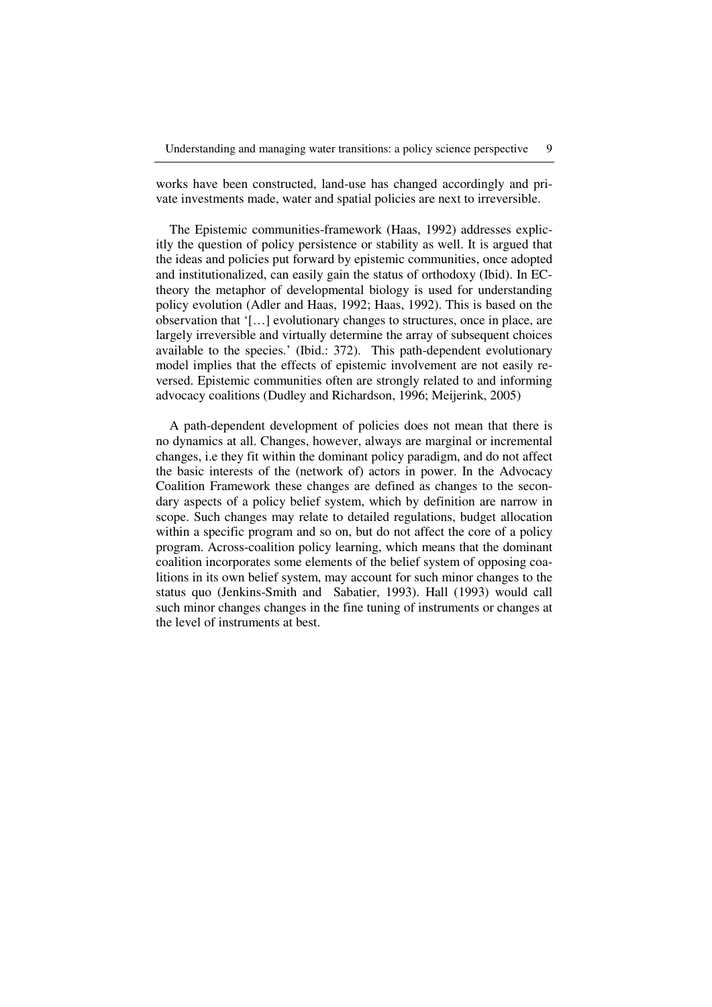works have been constructed, land-use has changed accordingly and private investments made, water and spatial policies are next to irreversible.

The Epistemic communities-framework (Haas, 1992) addresses explicitly the question of policy persistence or stability as well. It is argued that the ideas and policies put forward by epistemic communities, once adopted and institutionalized, can easily gain the status of orthodoxy (Ibid). In ECtheory the metaphor of developmental biology is used for understanding policy evolution (Adler and Haas, 1992; Haas, 1992). This is based on the observation that '[…] evolutionary changes to structures, once in place, are largely irreversible and virtually determine the array of subsequent choices available to the species.' (Ibid.: 372). This path-dependent evolutionary model implies that the effects of epistemic involvement are not easily reversed. Epistemic communities often are strongly related to and informing advocacy coalitions (Dudley and Richardson, 1996; Meijerink, 2005)

A path-dependent development of policies does not mean that there is no dynamics at all. Changes, however, always are marginal or incremental changes, i.e they fit within the dominant policy paradigm, and do not affect the basic interests of the (network of) actors in power. In the Advocacy Coalition Framework these changes are defined as changes to the secondary aspects of a policy belief system, which by definition are narrow in scope. Such changes may relate to detailed regulations, budget allocation within a specific program and so on, but do not affect the core of a policy program. Across-coalition policy learning, which means that the dominant coalition incorporates some elements of the belief system of opposing coalitions in its own belief system, may account for such minor changes to the status quo (Jenkins-Smith and Sabatier, 1993). Hall (1993) would call such minor changes changes in the fine tuning of instruments or changes at the level of instruments at best.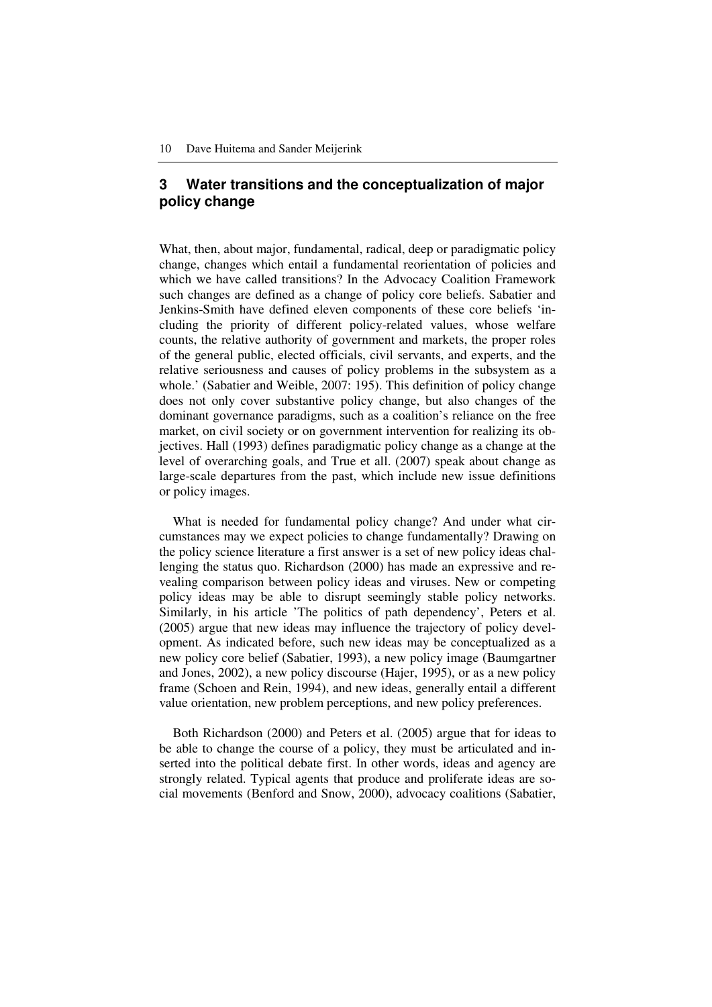# **3 Water transitions and the conceptualization of major policy change**

What, then, about major, fundamental, radical, deep or paradigmatic policy change, changes which entail a fundamental reorientation of policies and which we have called transitions? In the Advocacy Coalition Framework such changes are defined as a change of policy core beliefs. Sabatier and Jenkins-Smith have defined eleven components of these core beliefs 'including the priority of different policy-related values, whose welfare counts, the relative authority of government and markets, the proper roles of the general public, elected officials, civil servants, and experts, and the relative seriousness and causes of policy problems in the subsystem as a whole.' (Sabatier and Weible, 2007: 195). This definition of policy change does not only cover substantive policy change, but also changes of the dominant governance paradigms, such as a coalition's reliance on the free market, on civil society or on government intervention for realizing its objectives. Hall (1993) defines paradigmatic policy change as a change at the level of overarching goals, and True et all. (2007) speak about change as large-scale departures from the past, which include new issue definitions or policy images.

What is needed for fundamental policy change? And under what circumstances may we expect policies to change fundamentally? Drawing on the policy science literature a first answer is a set of new policy ideas challenging the status quo. Richardson (2000) has made an expressive and revealing comparison between policy ideas and viruses. New or competing policy ideas may be able to disrupt seemingly stable policy networks. Similarly, in his article 'The politics of path dependency', Peters et al. (2005) argue that new ideas may influence the trajectory of policy development. As indicated before, such new ideas may be conceptualized as a new policy core belief (Sabatier, 1993), a new policy image (Baumgartner and Jones, 2002), a new policy discourse (Hajer, 1995), or as a new policy frame (Schoen and Rein, 1994), and new ideas, generally entail a different value orientation, new problem perceptions, and new policy preferences.

Both Richardson (2000) and Peters et al. (2005) argue that for ideas to be able to change the course of a policy, they must be articulated and inserted into the political debate first. In other words, ideas and agency are strongly related. Typical agents that produce and proliferate ideas are social movements (Benford and Snow, 2000), advocacy coalitions (Sabatier,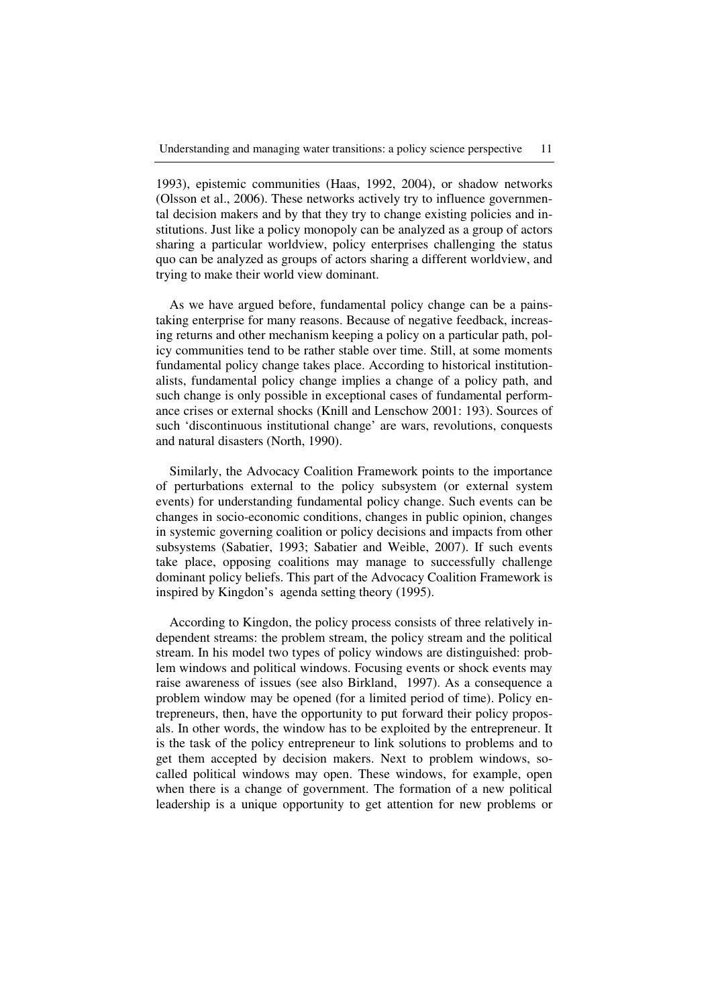1993), epistemic communities (Haas, 1992, 2004), or shadow networks (Olsson et al., 2006). These networks actively try to influence governmental decision makers and by that they try to change existing policies and institutions. Just like a policy monopoly can be analyzed as a group of actors sharing a particular worldview, policy enterprises challenging the status quo can be analyzed as groups of actors sharing a different worldview, and trying to make their world view dominant.

As we have argued before, fundamental policy change can be a painstaking enterprise for many reasons. Because of negative feedback, increasing returns and other mechanism keeping a policy on a particular path, policy communities tend to be rather stable over time. Still, at some moments fundamental policy change takes place. According to historical institutionalists, fundamental policy change implies a change of a policy path, and such change is only possible in exceptional cases of fundamental performance crises or external shocks (Knill and Lenschow 2001: 193). Sources of such 'discontinuous institutional change' are wars, revolutions, conquests and natural disasters (North, 1990).

Similarly, the Advocacy Coalition Framework points to the importance of perturbations external to the policy subsystem (or external system events) for understanding fundamental policy change. Such events can be changes in socio-economic conditions, changes in public opinion, changes in systemic governing coalition or policy decisions and impacts from other subsystems (Sabatier, 1993; Sabatier and Weible, 2007). If such events take place, opposing coalitions may manage to successfully challenge dominant policy beliefs. This part of the Advocacy Coalition Framework is inspired by Kingdon's agenda setting theory (1995).

According to Kingdon, the policy process consists of three relatively independent streams: the problem stream, the policy stream and the political stream. In his model two types of policy windows are distinguished: problem windows and political windows. Focusing events or shock events may raise awareness of issues (see also Birkland, 1997). As a consequence a problem window may be opened (for a limited period of time). Policy entrepreneurs, then, have the opportunity to put forward their policy proposals. In other words, the window has to be exploited by the entrepreneur. It is the task of the policy entrepreneur to link solutions to problems and to get them accepted by decision makers. Next to problem windows, socalled political windows may open. These windows, for example, open when there is a change of government. The formation of a new political leadership is a unique opportunity to get attention for new problems or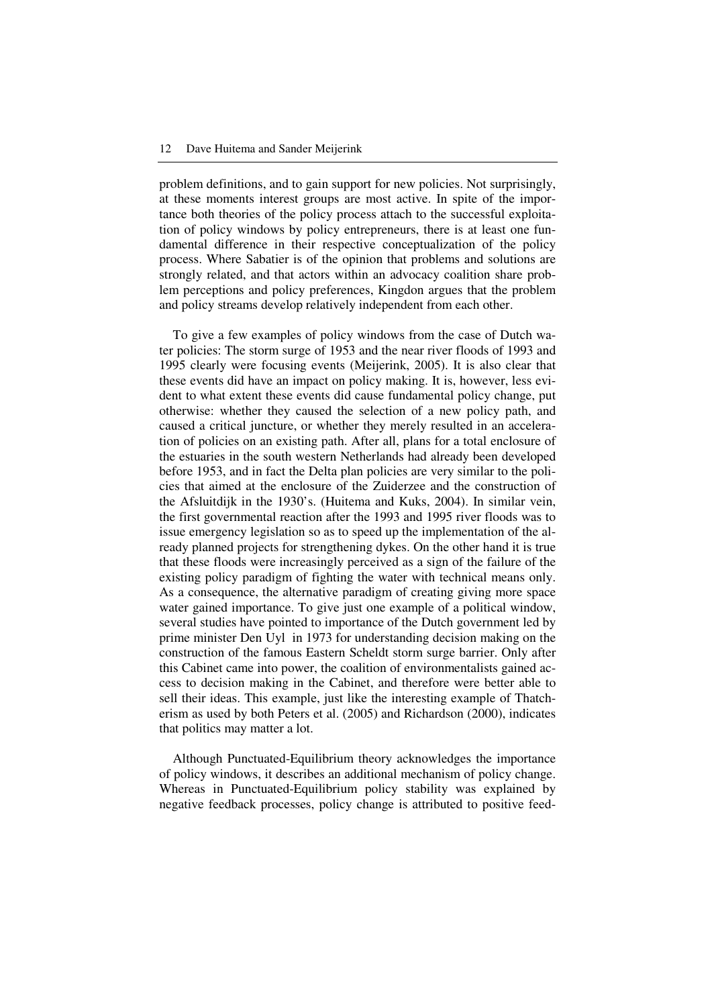problem definitions, and to gain support for new policies. Not surprisingly, at these moments interest groups are most active. In spite of the importance both theories of the policy process attach to the successful exploitation of policy windows by policy entrepreneurs, there is at least one fundamental difference in their respective conceptualization of the policy process. Where Sabatier is of the opinion that problems and solutions are strongly related, and that actors within an advocacy coalition share problem perceptions and policy preferences, Kingdon argues that the problem and policy streams develop relatively independent from each other.

To give a few examples of policy windows from the case of Dutch water policies: The storm surge of 1953 and the near river floods of 1993 and 1995 clearly were focusing events (Meijerink, 2005). It is also clear that these events did have an impact on policy making. It is, however, less evident to what extent these events did cause fundamental policy change, put otherwise: whether they caused the selection of a new policy path, and caused a critical juncture, or whether they merely resulted in an acceleration of policies on an existing path. After all, plans for a total enclosure of the estuaries in the south western Netherlands had already been developed before 1953, and in fact the Delta plan policies are very similar to the policies that aimed at the enclosure of the Zuiderzee and the construction of the Afsluitdijk in the 1930's. (Huitema and Kuks, 2004). In similar vein, the first governmental reaction after the 1993 and 1995 river floods was to issue emergency legislation so as to speed up the implementation of the already planned projects for strengthening dykes. On the other hand it is true that these floods were increasingly perceived as a sign of the failure of the existing policy paradigm of fighting the water with technical means only. As a consequence, the alternative paradigm of creating giving more space water gained importance. To give just one example of a political window, several studies have pointed to importance of the Dutch government led by prime minister Den Uyl in 1973 for understanding decision making on the construction of the famous Eastern Scheldt storm surge barrier. Only after this Cabinet came into power, the coalition of environmentalists gained access to decision making in the Cabinet, and therefore were better able to sell their ideas. This example, just like the interesting example of Thatcherism as used by both Peters et al. (2005) and Richardson (2000), indicates that politics may matter a lot.

Although Punctuated-Equilibrium theory acknowledges the importance of policy windows, it describes an additional mechanism of policy change. Whereas in Punctuated-Equilibrium policy stability was explained by negative feedback processes, policy change is attributed to positive feed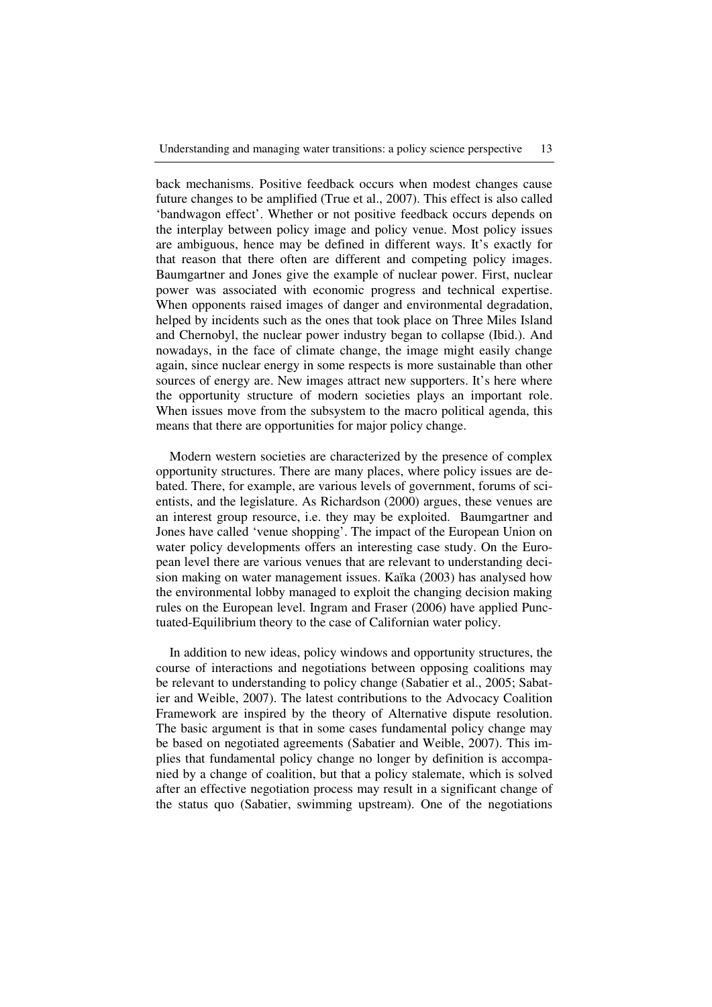back mechanisms. Positive feedback occurs when modest changes cause future changes to be amplified (True et al., 2007). This effect is also called 'bandwagon effect'. Whether or not positive feedback occurs depends on the interplay between policy image and policy venue. Most policy issues are ambiguous, hence may be defined in different ways. It's exactly for that reason that there often are different and competing policy images. Baumgartner and Jones give the example of nuclear power. First, nuclear power was associated with economic progress and technical expertise. When opponents raised images of danger and environmental degradation, helped by incidents such as the ones that took place on Three Miles Island and Chernobyl, the nuclear power industry began to collapse (Ibid.). And nowadays, in the face of climate change, the image might easily change again, since nuclear energy in some respects is more sustainable than other sources of energy are. New images attract new supporters. It's here where the opportunity structure of modern societies plays an important role. When issues move from the subsystem to the macro political agenda, this means that there are opportunities for major policy change.

Modern western societies are characterized by the presence of complex opportunity structures. There are many places, where policy issues are debated. There, for example, are various levels of government, forums of scientists, and the legislature. As Richardson (2000) argues, these venues are an interest group resource, i.e. they may be exploited. Baumgartner and Jones have called 'venue shopping'. The impact of the European Union on water policy developments offers an interesting case study. On the European level there are various venues that are relevant to understanding decision making on water management issues. Kaïka (2003) has analysed how the environmental lobby managed to exploit the changing decision making rules on the European level. Ingram and Fraser (2006) have applied Punctuated-Equilibrium theory to the case of Californian water policy.

In addition to new ideas, policy windows and opportunity structures, the course of interactions and negotiations between opposing coalitions may be relevant to understanding to policy change (Sabatier et al., 2005; Sabatier and Weible, 2007). The latest contributions to the Advocacy Coalition Framework are inspired by the theory of Alternative dispute resolution. The basic argument is that in some cases fundamental policy change may be based on negotiated agreements (Sabatier and Weible, 2007). This implies that fundamental policy change no longer by definition is accompanied by a change of coalition, but that a policy stalemate, which is solved after an effective negotiation process may result in a significant change of the status quo (Sabatier, swimming upstream). One of the negotiations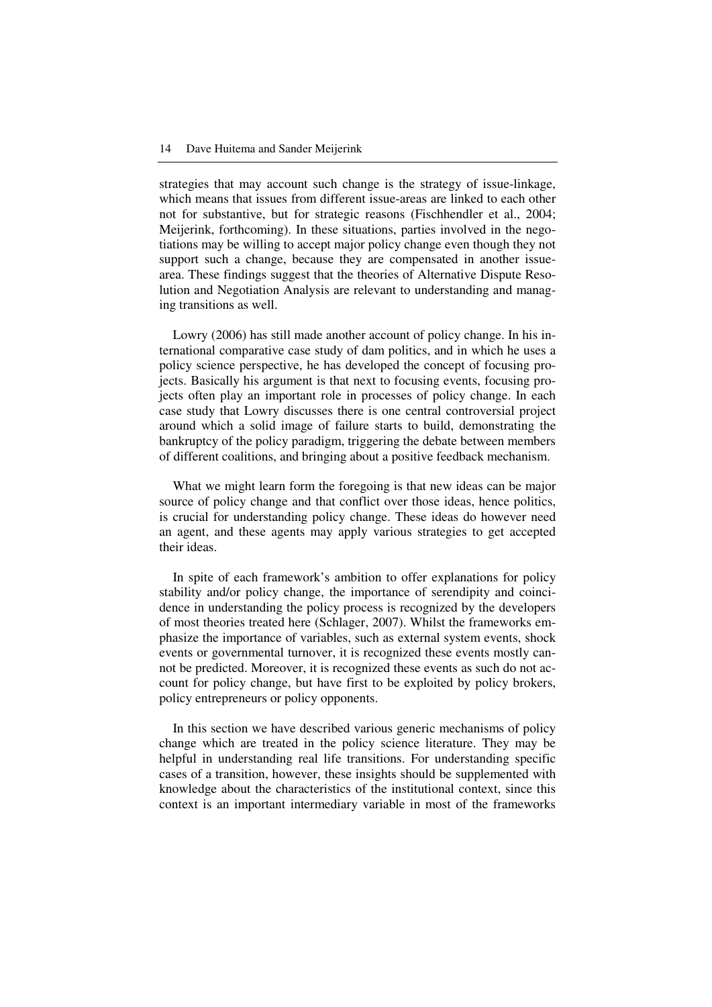strategies that may account such change is the strategy of issue-linkage, which means that issues from different issue-areas are linked to each other not for substantive, but for strategic reasons (Fischhendler et al., 2004; Meijerink, forthcoming). In these situations, parties involved in the negotiations may be willing to accept major policy change even though they not support such a change, because they are compensated in another issuearea. These findings suggest that the theories of Alternative Dispute Resolution and Negotiation Analysis are relevant to understanding and managing transitions as well.

Lowry (2006) has still made another account of policy change. In his international comparative case study of dam politics, and in which he uses a policy science perspective, he has developed the concept of focusing projects. Basically his argument is that next to focusing events, focusing projects often play an important role in processes of policy change. In each case study that Lowry discusses there is one central controversial project around which a solid image of failure starts to build, demonstrating the bankruptcy of the policy paradigm, triggering the debate between members of different coalitions, and bringing about a positive feedback mechanism.

What we might learn form the foregoing is that new ideas can be major source of policy change and that conflict over those ideas, hence politics, is crucial for understanding policy change. These ideas do however need an agent, and these agents may apply various strategies to get accepted their ideas.

In spite of each framework's ambition to offer explanations for policy stability and/or policy change, the importance of serendipity and coincidence in understanding the policy process is recognized by the developers of most theories treated here (Schlager, 2007). Whilst the frameworks emphasize the importance of variables, such as external system events, shock events or governmental turnover, it is recognized these events mostly cannot be predicted. Moreover, it is recognized these events as such do not account for policy change, but have first to be exploited by policy brokers, policy entrepreneurs or policy opponents.

In this section we have described various generic mechanisms of policy change which are treated in the policy science literature. They may be helpful in understanding real life transitions. For understanding specific cases of a transition, however, these insights should be supplemented with knowledge about the characteristics of the institutional context, since this context is an important intermediary variable in most of the frameworks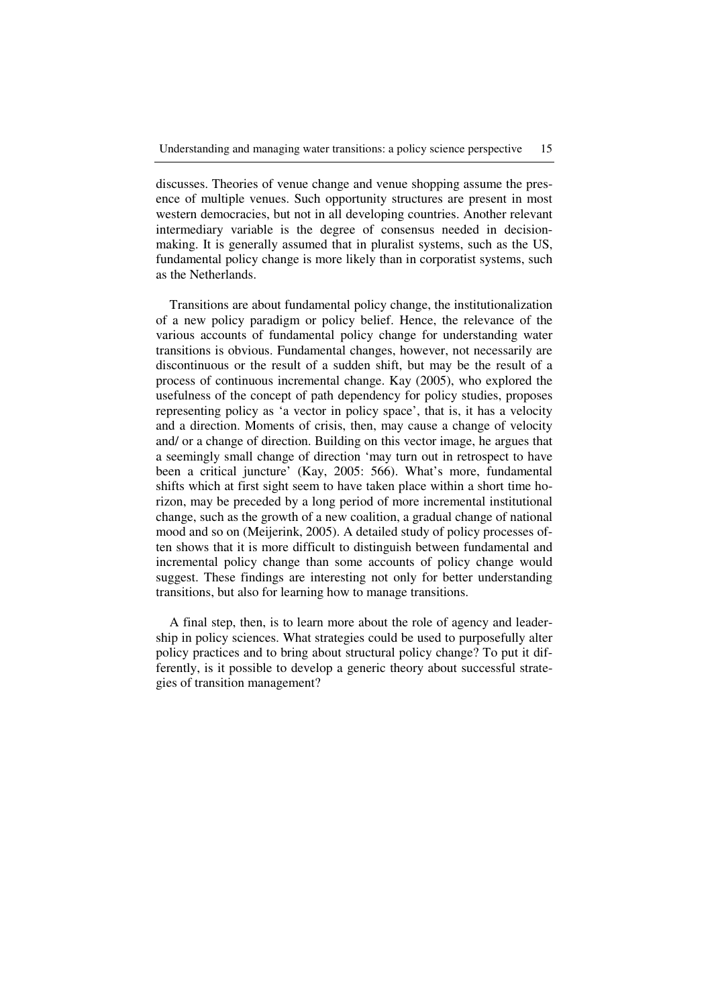discusses. Theories of venue change and venue shopping assume the presence of multiple venues. Such opportunity structures are present in most western democracies, but not in all developing countries. Another relevant intermediary variable is the degree of consensus needed in decisionmaking. It is generally assumed that in pluralist systems, such as the US, fundamental policy change is more likely than in corporatist systems, such as the Netherlands.

Transitions are about fundamental policy change, the institutionalization of a new policy paradigm or policy belief. Hence, the relevance of the various accounts of fundamental policy change for understanding water transitions is obvious. Fundamental changes, however, not necessarily are discontinuous or the result of a sudden shift, but may be the result of a process of continuous incremental change. Kay (2005), who explored the usefulness of the concept of path dependency for policy studies, proposes representing policy as 'a vector in policy space', that is, it has a velocity and a direction. Moments of crisis, then, may cause a change of velocity and/ or a change of direction. Building on this vector image, he argues that a seemingly small change of direction 'may turn out in retrospect to have been a critical juncture' (Kay, 2005: 566). What's more, fundamental shifts which at first sight seem to have taken place within a short time horizon, may be preceded by a long period of more incremental institutional change, such as the growth of a new coalition, a gradual change of national mood and so on (Meijerink, 2005). A detailed study of policy processes often shows that it is more difficult to distinguish between fundamental and incremental policy change than some accounts of policy change would suggest. These findings are interesting not only for better understanding transitions, but also for learning how to manage transitions.

A final step, then, is to learn more about the role of agency and leadership in policy sciences. What strategies could be used to purposefully alter policy practices and to bring about structural policy change? To put it differently, is it possible to develop a generic theory about successful strategies of transition management?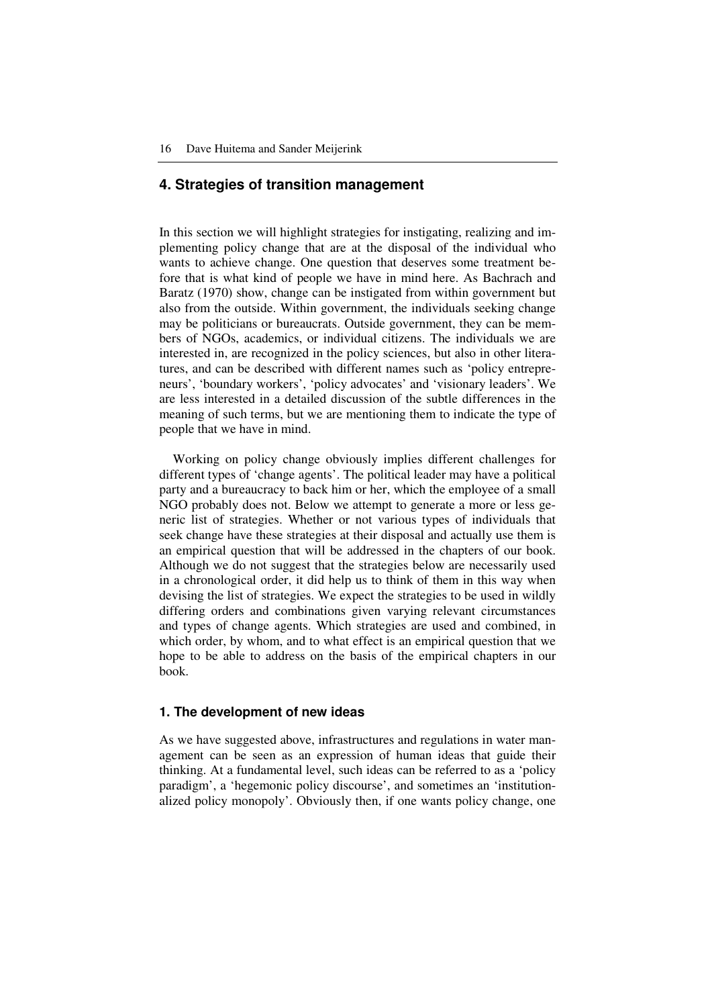# **4. Strategies of transition management**

In this section we will highlight strategies for instigating, realizing and implementing policy change that are at the disposal of the individual who wants to achieve change. One question that deserves some treatment before that is what kind of people we have in mind here. As Bachrach and Baratz (1970) show, change can be instigated from within government but also from the outside. Within government, the individuals seeking change may be politicians or bureaucrats. Outside government, they can be members of NGOs, academics, or individual citizens. The individuals we are interested in, are recognized in the policy sciences, but also in other literatures, and can be described with different names such as 'policy entrepreneurs', 'boundary workers', 'policy advocates' and 'visionary leaders'. We are less interested in a detailed discussion of the subtle differences in the meaning of such terms, but we are mentioning them to indicate the type of people that we have in mind.

Working on policy change obviously implies different challenges for different types of 'change agents'. The political leader may have a political party and a bureaucracy to back him or her, which the employee of a small NGO probably does not. Below we attempt to generate a more or less generic list of strategies. Whether or not various types of individuals that seek change have these strategies at their disposal and actually use them is an empirical question that will be addressed in the chapters of our book. Although we do not suggest that the strategies below are necessarily used in a chronological order, it did help us to think of them in this way when devising the list of strategies. We expect the strategies to be used in wildly differing orders and combinations given varying relevant circumstances and types of change agents. Which strategies are used and combined, in which order, by whom, and to what effect is an empirical question that we hope to be able to address on the basis of the empirical chapters in our book.

# **1. The development of new ideas**

As we have suggested above, infrastructures and regulations in water management can be seen as an expression of human ideas that guide their thinking. At a fundamental level, such ideas can be referred to as a 'policy paradigm', a 'hegemonic policy discourse', and sometimes an 'institutionalized policy monopoly'. Obviously then, if one wants policy change, one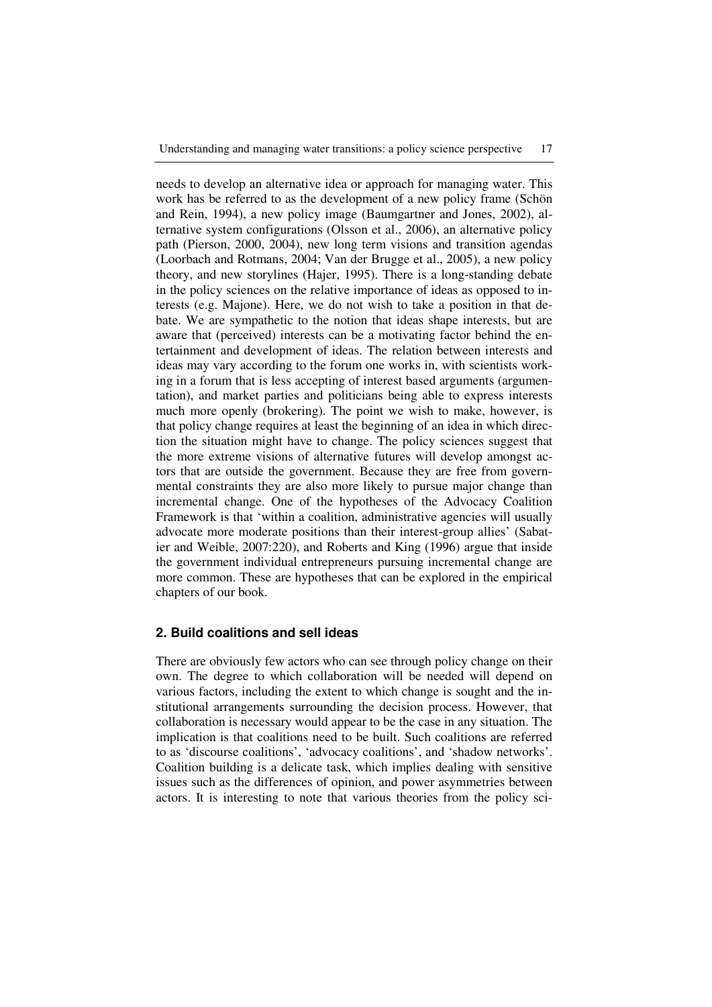needs to develop an alternative idea or approach for managing water. This work has be referred to as the development of a new policy frame (Schön and Rein, 1994), a new policy image (Baumgartner and Jones, 2002), alternative system configurations (Olsson et al., 2006), an alternative policy path (Pierson, 2000, 2004), new long term visions and transition agendas (Loorbach and Rotmans, 2004; Van der Brugge et al., 2005), a new policy theory, and new storylines (Hajer, 1995). There is a long-standing debate in the policy sciences on the relative importance of ideas as opposed to interests (e.g. Majone). Here, we do not wish to take a position in that debate. We are sympathetic to the notion that ideas shape interests, but are aware that (perceived) interests can be a motivating factor behind the entertainment and development of ideas. The relation between interests and ideas may vary according to the forum one works in, with scientists working in a forum that is less accepting of interest based arguments (argumentation), and market parties and politicians being able to express interests much more openly (brokering). The point we wish to make, however, is that policy change requires at least the beginning of an idea in which direction the situation might have to change. The policy sciences suggest that the more extreme visions of alternative futures will develop amongst actors that are outside the government. Because they are free from governmental constraints they are also more likely to pursue major change than incremental change. One of the hypotheses of the Advocacy Coalition Framework is that 'within a coalition, administrative agencies will usually advocate more moderate positions than their interest-group allies' (Sabatier and Weible, 2007:220), and Roberts and King (1996) argue that inside the government individual entrepreneurs pursuing incremental change are more common. These are hypotheses that can be explored in the empirical chapters of our book.

#### **2. Build coalitions and sell ideas**

There are obviously few actors who can see through policy change on their own. The degree to which collaboration will be needed will depend on various factors, including the extent to which change is sought and the institutional arrangements surrounding the decision process. However, that collaboration is necessary would appear to be the case in any situation. The implication is that coalitions need to be built. Such coalitions are referred to as 'discourse coalitions', 'advocacy coalitions', and 'shadow networks'. Coalition building is a delicate task, which implies dealing with sensitive issues such as the differences of opinion, and power asymmetries between actors. It is interesting to note that various theories from the policy sci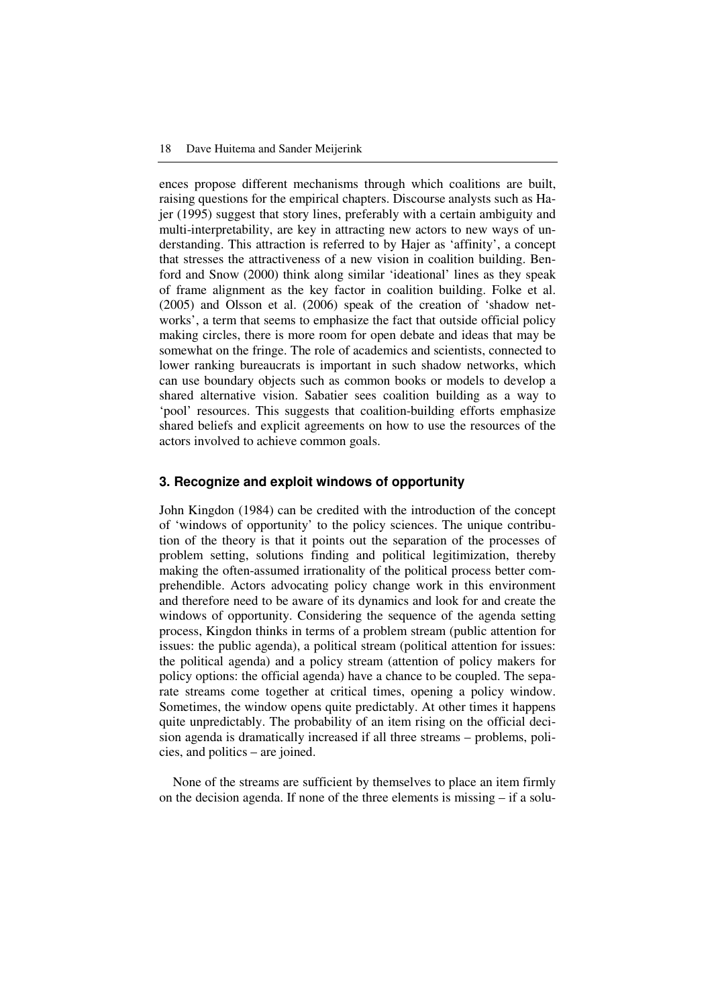ences propose different mechanisms through which coalitions are built, raising questions for the empirical chapters. Discourse analysts such as Hajer (1995) suggest that story lines, preferably with a certain ambiguity and multi-interpretability, are key in attracting new actors to new ways of understanding. This attraction is referred to by Hajer as 'affinity', a concept that stresses the attractiveness of a new vision in coalition building. Benford and Snow (2000) think along similar 'ideational' lines as they speak of frame alignment as the key factor in coalition building. Folke et al. (2005) and Olsson et al. (2006) speak of the creation of 'shadow networks', a term that seems to emphasize the fact that outside official policy making circles, there is more room for open debate and ideas that may be somewhat on the fringe. The role of academics and scientists, connected to lower ranking bureaucrats is important in such shadow networks, which can use boundary objects such as common books or models to develop a shared alternative vision. Sabatier sees coalition building as a way to 'pool' resources. This suggests that coalition-building efforts emphasize shared beliefs and explicit agreements on how to use the resources of the actors involved to achieve common goals.

## **3. Recognize and exploit windows of opportunity**

John Kingdon (1984) can be credited with the introduction of the concept of 'windows of opportunity' to the policy sciences. The unique contribution of the theory is that it points out the separation of the processes of problem setting, solutions finding and political legitimization, thereby making the often-assumed irrationality of the political process better comprehendible. Actors advocating policy change work in this environment and therefore need to be aware of its dynamics and look for and create the windows of opportunity. Considering the sequence of the agenda setting process, Kingdon thinks in terms of a problem stream (public attention for issues: the public agenda), a political stream (political attention for issues: the political agenda) and a policy stream (attention of policy makers for policy options: the official agenda) have a chance to be coupled. The separate streams come together at critical times, opening a policy window. Sometimes, the window opens quite predictably. At other times it happens quite unpredictably. The probability of an item rising on the official decision agenda is dramatically increased if all three streams – problems, policies, and politics – are joined.

None of the streams are sufficient by themselves to place an item firmly on the decision agenda. If none of the three elements is missing – if a solu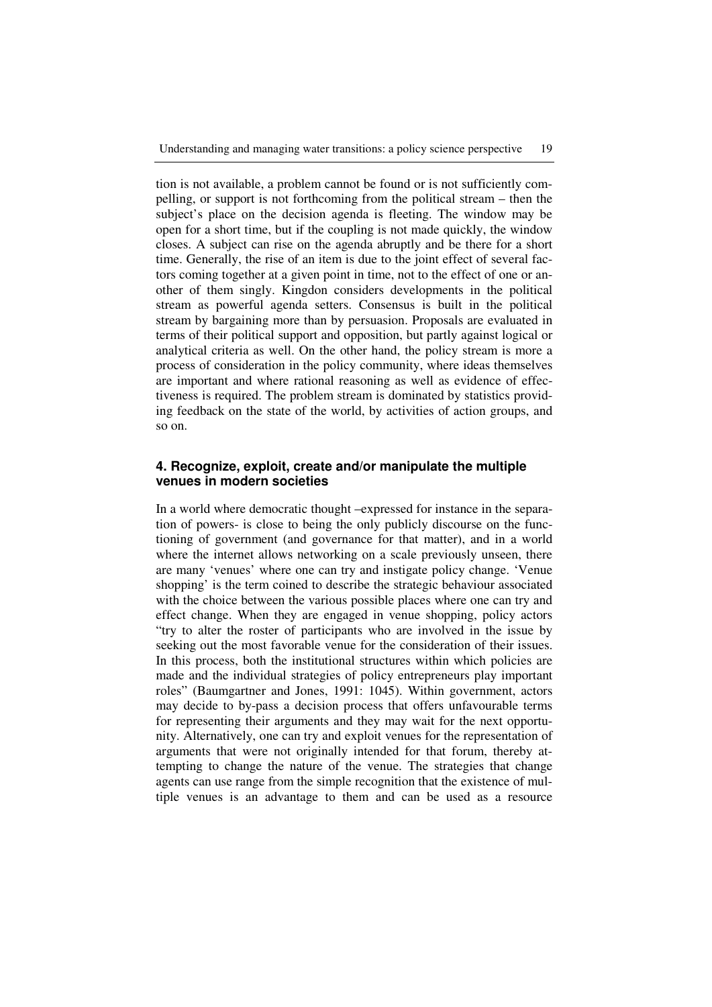tion is not available, a problem cannot be found or is not sufficiently compelling, or support is not forthcoming from the political stream – then the subject's place on the decision agenda is fleeting. The window may be open for a short time, but if the coupling is not made quickly, the window closes. A subject can rise on the agenda abruptly and be there for a short time. Generally, the rise of an item is due to the joint effect of several factors coming together at a given point in time, not to the effect of one or another of them singly. Kingdon considers developments in the political stream as powerful agenda setters. Consensus is built in the political stream by bargaining more than by persuasion. Proposals are evaluated in terms of their political support and opposition, but partly against logical or analytical criteria as well. On the other hand, the policy stream is more a process of consideration in the policy community, where ideas themselves are important and where rational reasoning as well as evidence of effectiveness is required. The problem stream is dominated by statistics providing feedback on the state of the world, by activities of action groups, and so on.

# **4. Recognize, exploit, create and/or manipulate the multiple venues in modern societies**

In a world where democratic thought –expressed for instance in the separation of powers- is close to being the only publicly discourse on the functioning of government (and governance for that matter), and in a world where the internet allows networking on a scale previously unseen, there are many 'venues' where one can try and instigate policy change. 'Venue shopping' is the term coined to describe the strategic behaviour associated with the choice between the various possible places where one can try and effect change. When they are engaged in venue shopping, policy actors "try to alter the roster of participants who are involved in the issue by seeking out the most favorable venue for the consideration of their issues. In this process, both the institutional structures within which policies are made and the individual strategies of policy entrepreneurs play important roles" (Baumgartner and Jones, 1991: 1045). Within government, actors may decide to by-pass a decision process that offers unfavourable terms for representing their arguments and they may wait for the next opportunity. Alternatively, one can try and exploit venues for the representation of arguments that were not originally intended for that forum, thereby attempting to change the nature of the venue. The strategies that change agents can use range from the simple recognition that the existence of multiple venues is an advantage to them and can be used as a resource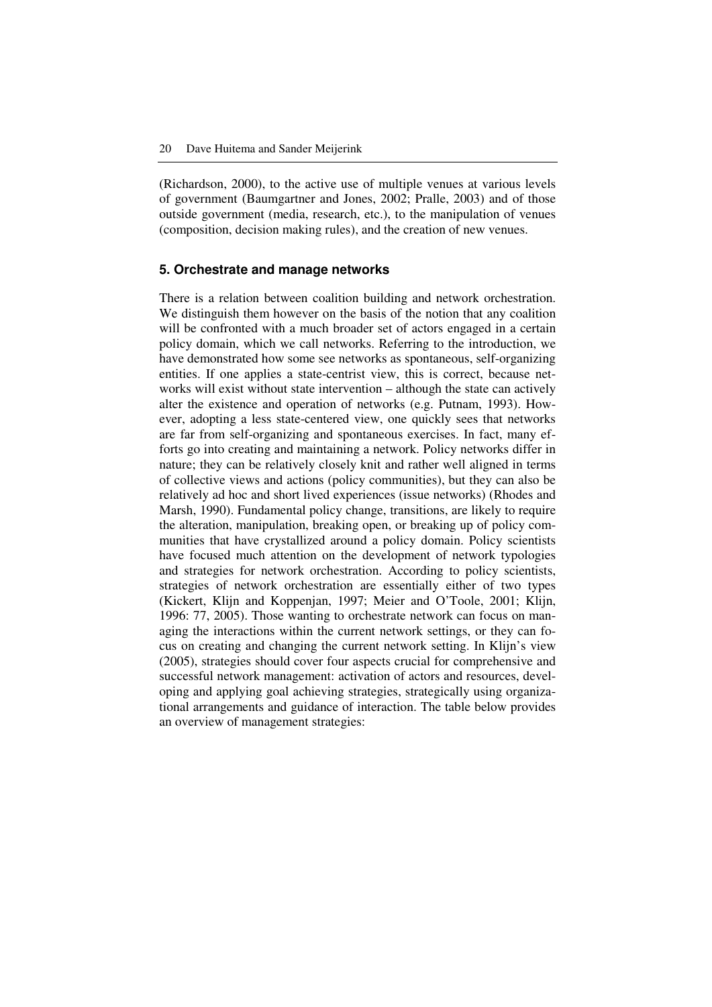(Richardson, 2000), to the active use of multiple venues at various levels of government (Baumgartner and Jones, 2002; Pralle, 2003) and of those outside government (media, research, etc.), to the manipulation of venues (composition, decision making rules), and the creation of new venues.

#### **5. Orchestrate and manage networks**

There is a relation between coalition building and network orchestration. We distinguish them however on the basis of the notion that any coalition will be confronted with a much broader set of actors engaged in a certain policy domain, which we call networks. Referring to the introduction, we have demonstrated how some see networks as spontaneous, self-organizing entities. If one applies a state-centrist view, this is correct, because networks will exist without state intervention – although the state can actively alter the existence and operation of networks (e.g. Putnam, 1993). However, adopting a less state-centered view, one quickly sees that networks are far from self-organizing and spontaneous exercises. In fact, many efforts go into creating and maintaining a network. Policy networks differ in nature; they can be relatively closely knit and rather well aligned in terms of collective views and actions (policy communities), but they can also be relatively ad hoc and short lived experiences (issue networks) (Rhodes and Marsh, 1990). Fundamental policy change, transitions, are likely to require the alteration, manipulation, breaking open, or breaking up of policy communities that have crystallized around a policy domain. Policy scientists have focused much attention on the development of network typologies and strategies for network orchestration. According to policy scientists, strategies of network orchestration are essentially either of two types (Kickert, Klijn and Koppenjan, 1997; Meier and O'Toole, 2001; Klijn, 1996: 77, 2005). Those wanting to orchestrate network can focus on managing the interactions within the current network settings, or they can focus on creating and changing the current network setting. In Klijn's view (2005), strategies should cover four aspects crucial for comprehensive and successful network management: activation of actors and resources, developing and applying goal achieving strategies, strategically using organizational arrangements and guidance of interaction. The table below provides an overview of management strategies: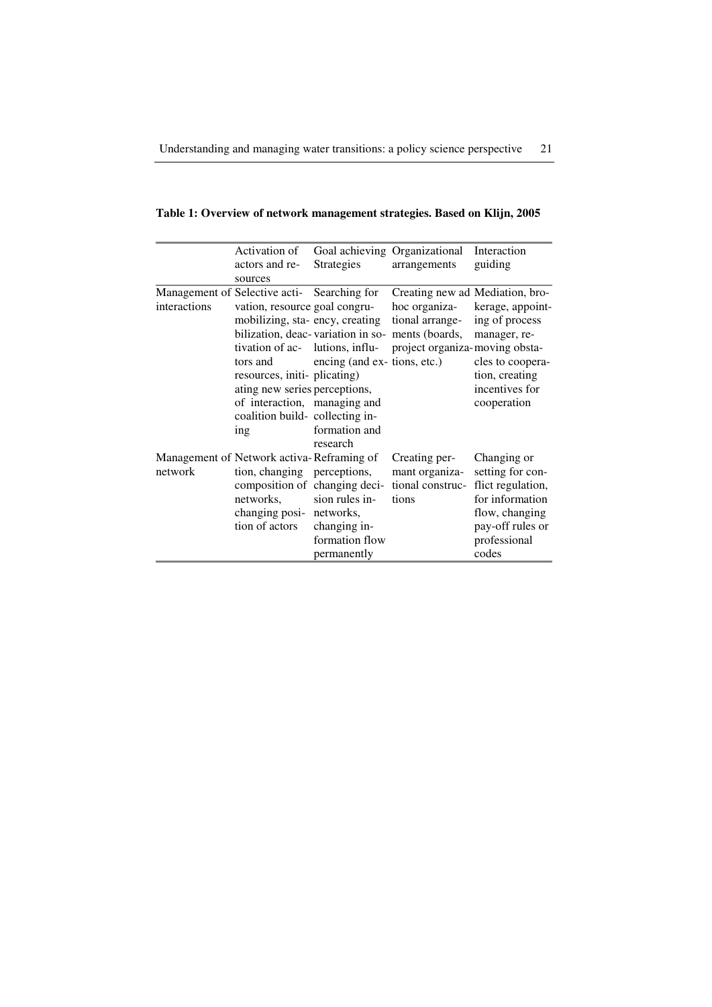|  | Table 1: Overview of network management strategies. Based on Klijn, 2005 |  |  |
|--|--------------------------------------------------------------------------|--|--|
|  |                                                                          |  |  |

|              | Activation of                                                                                                                                                                                                                                                                                             |                                                                                                              | Goal achieving Organizational                                                                                                                             | Interaction                                                                                                                            |
|--------------|-----------------------------------------------------------------------------------------------------------------------------------------------------------------------------------------------------------------------------------------------------------------------------------------------------------|--------------------------------------------------------------------------------------------------------------|-----------------------------------------------------------------------------------------------------------------------------------------------------------|----------------------------------------------------------------------------------------------------------------------------------------|
|              | actors and re-                                                                                                                                                                                                                                                                                            | <b>Strategies</b>                                                                                            | arrangements                                                                                                                                              | guiding                                                                                                                                |
|              | sources                                                                                                                                                                                                                                                                                                   |                                                                                                              |                                                                                                                                                           |                                                                                                                                        |
| interactions | Management of Selective acti-<br>Searching for<br>vation, resource goal congru-<br>mobilizing, sta-ency, creating<br>tivation of ac- lutions, influ-<br>tors and<br>resources, initi-plicating)<br>ating new series perceptions,<br>of interaction, managing and<br>coalition build-collecting in-<br>ing | encing (and ex- tions, etc.)<br>formation and                                                                | Creating new ad Mediation, bro-<br>hoc organiza-<br>tional arrange-<br>bilization, deac-variation in so- ments (boards,<br>project organiza-moving obsta- | kerage, appoint-<br>ing of process<br>manager, re-<br>cles to coopera-<br>tion, creating<br>incentives for<br>cooperation              |
| network      | Management of Network activa-Reframing of<br>tion, changing perceptions,<br>networks,<br>changing posi- networks,<br>tion of actors                                                                                                                                                                       | research<br>composition of changing deci-<br>sion rules in-<br>changing in-<br>formation flow<br>permanently | Creating per-<br>mant organiza-<br>tional construc-<br>tions                                                                                              | Changing or<br>setting for con-<br>flict regulation,<br>for information<br>flow, changing<br>pay-off rules or<br>professional<br>codes |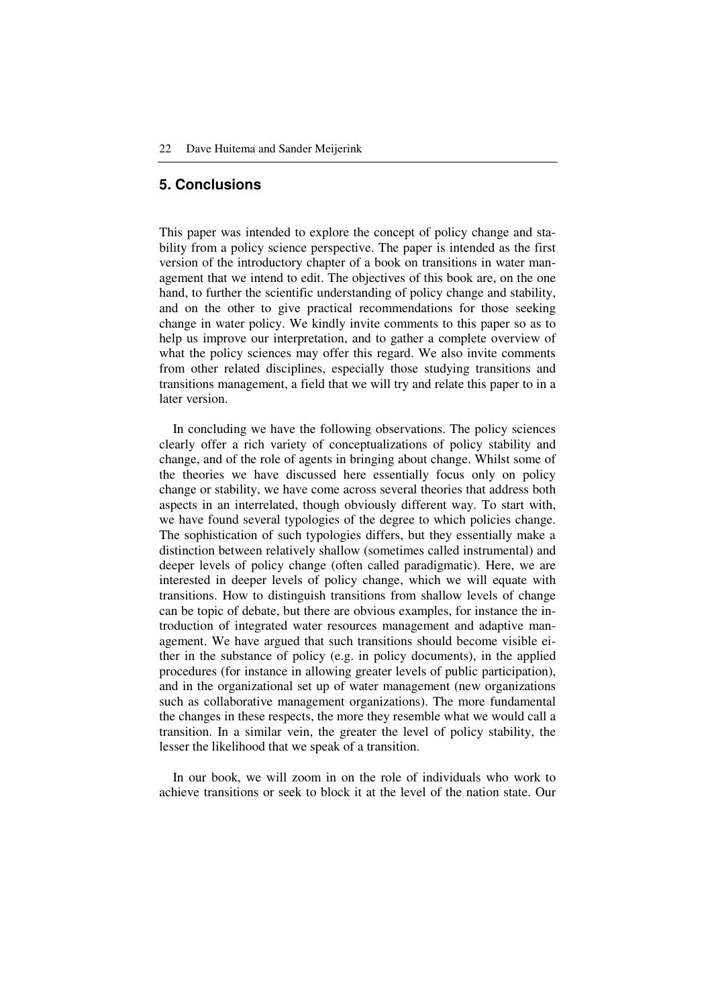# **5. Conclusions**

This paper was intended to explore the concept of policy change and stability from a policy science perspective. The paper is intended as the first version of the introductory chapter of a book on transitions in water management that we intend to edit. The objectives of this book are, on the one hand, to further the scientific understanding of policy change and stability, and on the other to give practical recommendations for those seeking change in water policy. We kindly invite comments to this paper so as to help us improve our interpretation, and to gather a complete overview of what the policy sciences may offer this regard. We also invite comments from other related disciplines, especially those studying transitions and transitions management, a field that we will try and relate this paper to in a later version.

In concluding we have the following observations. The policy sciences clearly offer a rich variety of conceptualizations of policy stability and change, and of the role of agents in bringing about change. Whilst some of the theories we have discussed here essentially focus only on policy change or stability, we have come across several theories that address both aspects in an interrelated, though obviously different way. To start with, we have found several typologies of the degree to which policies change. The sophistication of such typologies differs, but they essentially make a distinction between relatively shallow (sometimes called instrumental) and deeper levels of policy change (often called paradigmatic). Here, we are interested in deeper levels of policy change, which we will equate with transitions. How to distinguish transitions from shallow levels of change can be topic of debate, but there are obvious examples, for instance the introduction of integrated water resources management and adaptive management. We have argued that such transitions should become visible either in the substance of policy (e.g. in policy documents), in the applied procedures (for instance in allowing greater levels of public participation), and in the organizational set up of water management (new organizations such as collaborative management organizations). The more fundamental the changes in these respects, the more they resemble what we would call a transition. In a similar vein, the greater the level of policy stability, the lesser the likelihood that we speak of a transition.

In our book, we will zoom in on the role of individuals who work to achieve transitions or seek to block it at the level of the nation state. Our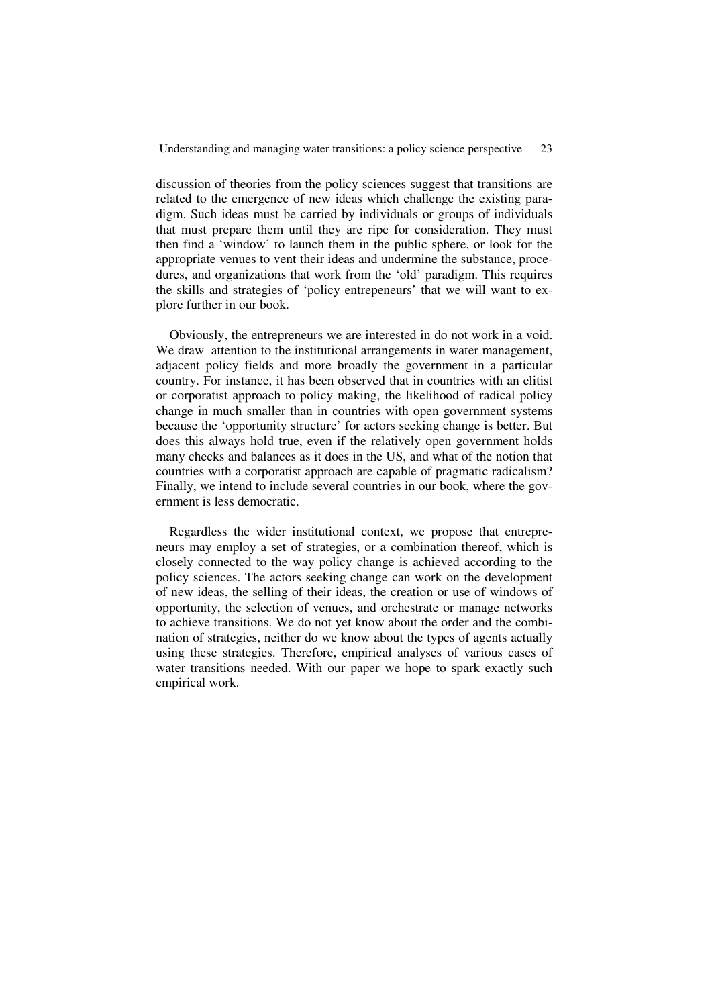discussion of theories from the policy sciences suggest that transitions are related to the emergence of new ideas which challenge the existing paradigm. Such ideas must be carried by individuals or groups of individuals that must prepare them until they are ripe for consideration. They must then find a 'window' to launch them in the public sphere, or look for the appropriate venues to vent their ideas and undermine the substance, procedures, and organizations that work from the 'old' paradigm. This requires the skills and strategies of 'policy entrepeneurs' that we will want to explore further in our book.

Obviously, the entrepreneurs we are interested in do not work in a void. We draw attention to the institutional arrangements in water management, adjacent policy fields and more broadly the government in a particular country. For instance, it has been observed that in countries with an elitist or corporatist approach to policy making, the likelihood of radical policy change in much smaller than in countries with open government systems because the 'opportunity structure' for actors seeking change is better. But does this always hold true, even if the relatively open government holds many checks and balances as it does in the US, and what of the notion that countries with a corporatist approach are capable of pragmatic radicalism? Finally, we intend to include several countries in our book, where the government is less democratic.

Regardless the wider institutional context, we propose that entrepreneurs may employ a set of strategies, or a combination thereof, which is closely connected to the way policy change is achieved according to the policy sciences. The actors seeking change can work on the development of new ideas, the selling of their ideas, the creation or use of windows of opportunity, the selection of venues, and orchestrate or manage networks to achieve transitions. We do not yet know about the order and the combination of strategies, neither do we know about the types of agents actually using these strategies. Therefore, empirical analyses of various cases of water transitions needed. With our paper we hope to spark exactly such empirical work.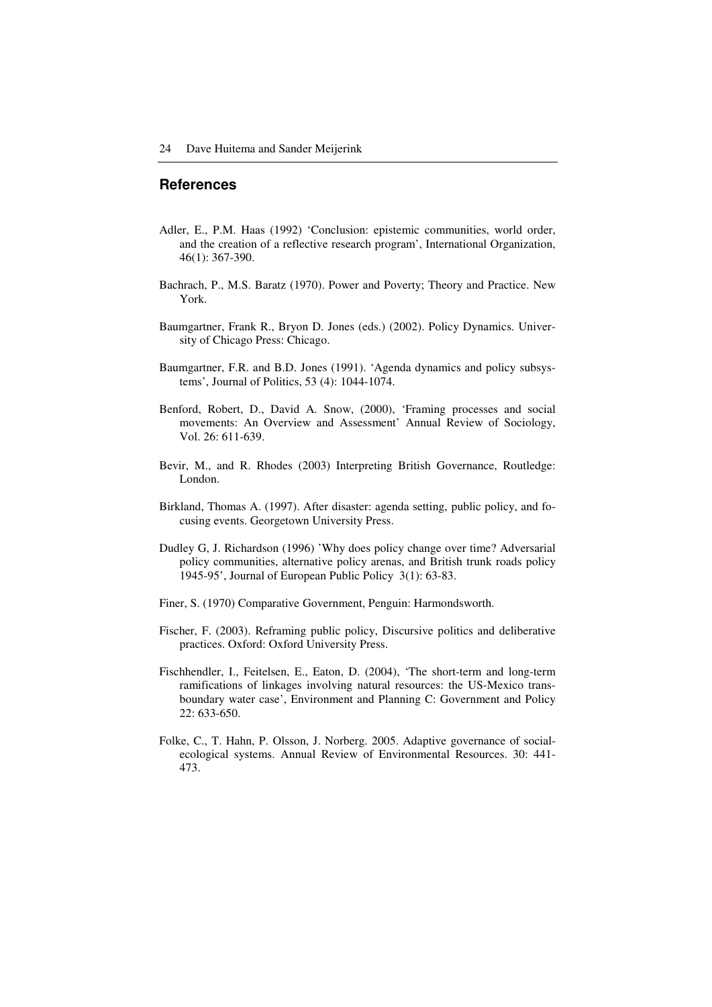### **References**

- Adler, E., P.M. Haas (1992) 'Conclusion: epistemic communities, world order, and the creation of a reflective research program', International Organization, 46(1): 367-390.
- Bachrach, P., M.S. Baratz (1970). Power and Poverty; Theory and Practice. New York.
- Baumgartner, Frank R., Bryon D. Jones (eds.) (2002). Policy Dynamics. University of Chicago Press: Chicago.
- Baumgartner, F.R. and B.D. Jones (1991). 'Agenda dynamics and policy subsystems', Journal of Politics, 53 (4): 1044-1074.
- Benford, Robert, D., David A. Snow, (2000), 'Framing processes and social movements: An Overview and Assessment' Annual Review of Sociology, Vol. 26: 611-639.
- Bevir, M., and R. Rhodes (2003) Interpreting British Governance, Routledge: London.
- Birkland, Thomas A. (1997). After disaster: agenda setting, public policy, and focusing events. Georgetown University Press.
- Dudley G, J. Richardson (1996) 'Why does policy change over time? Adversarial policy communities, alternative policy arenas, and British trunk roads policy 1945-95', Journal of European Public Policy 3(1): 63-83.
- Finer, S. (1970) Comparative Government, Penguin: Harmondsworth.
- Fischer, F. (2003). Reframing public policy, Discursive politics and deliberative practices. Oxford: Oxford University Press.
- Fischhendler, I., Feitelsen, E., Eaton, D. (2004), 'The short-term and long-term ramifications of linkages involving natural resources: the US-Mexico transboundary water case', Environment and Planning C: Government and Policy 22: 633-650.
- Folke, C., T. Hahn, P. Olsson, J. Norberg. 2005. Adaptive governance of socialecological systems. Annual Review of Environmental Resources. 30: 441- 473.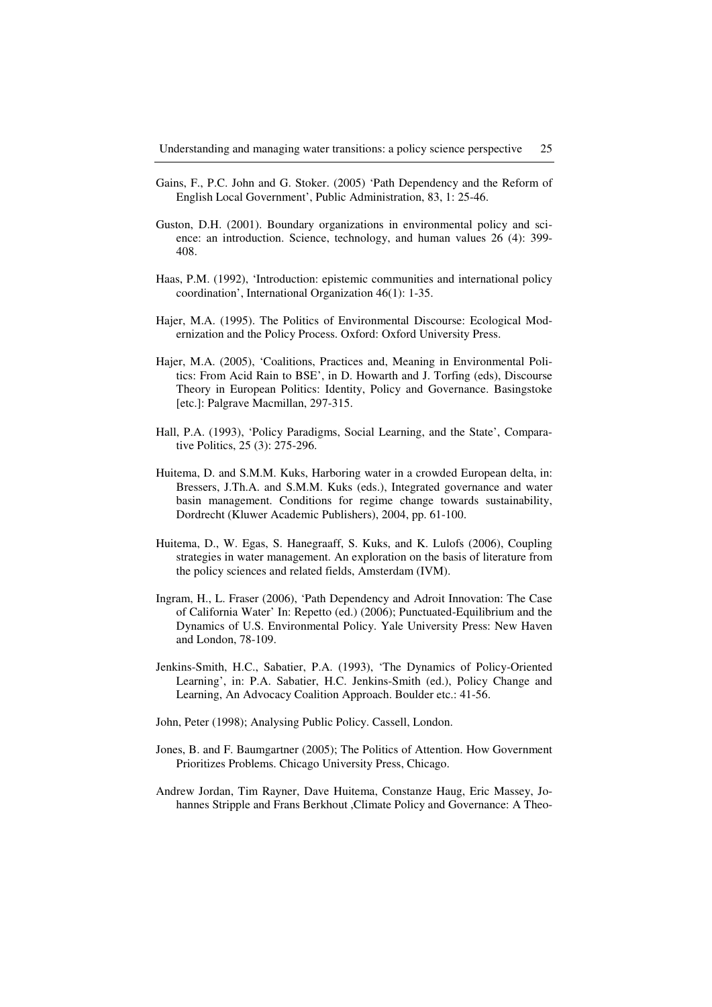- Gains, F., P.C. John and G. Stoker. (2005) 'Path Dependency and the Reform of English Local Government', Public Administration, 83, 1: 25-46.
- Guston, D.H. (2001). Boundary organizations in environmental policy and science: an introduction. Science, technology, and human values 26 (4): 399- 408.
- Haas, P.M. (1992), 'Introduction: epistemic communities and international policy coordination', International Organization 46(1): 1-35.
- Hajer, M.A. (1995). The Politics of Environmental Discourse: Ecological Modernization and the Policy Process. Oxford: Oxford University Press.
- Hajer, M.A. (2005), 'Coalitions, Practices and, Meaning in Environmental Politics: From Acid Rain to BSE', in D. Howarth and J. Torfing (eds), Discourse Theory in European Politics: Identity, Policy and Governance. Basingstoke [etc.]: Palgrave Macmillan, 297-315.
- Hall, P.A. (1993), 'Policy Paradigms, Social Learning, and the State', Comparative Politics, 25 (3): 275-296.
- Huitema, D. and S.M.M. Kuks, Harboring water in a crowded European delta, in: Bressers, J.Th.A. and S.M.M. Kuks (eds.), Integrated governance and water basin management. Conditions for regime change towards sustainability, Dordrecht (Kluwer Academic Publishers), 2004, pp. 61-100.
- Huitema, D., W. Egas, S. Hanegraaff, S. Kuks, and K. Lulofs (2006), Coupling strategies in water management. An exploration on the basis of literature from the policy sciences and related fields, Amsterdam (IVM).
- Ingram, H., L. Fraser (2006), 'Path Dependency and Adroit Innovation: The Case of California Water' In: Repetto (ed.) (2006); Punctuated-Equilibrium and the Dynamics of U.S. Environmental Policy. Yale University Press: New Haven and London, 78-109.
- Jenkins-Smith, H.C., Sabatier, P.A. (1993), 'The Dynamics of Policy-Oriented Learning', in: P.A. Sabatier, H.C. Jenkins-Smith (ed.), Policy Change and Learning, An Advocacy Coalition Approach. Boulder etc.: 41-56.
- John, Peter (1998); Analysing Public Policy. Cassell, London.
- Jones, B. and F. Baumgartner (2005); The Politics of Attention. How Government Prioritizes Problems. Chicago University Press, Chicago.
- Andrew Jordan, Tim Rayner, Dave Huitema, Constanze Haug, Eric Massey, Johannes Stripple and Frans Berkhout ,Climate Policy and Governance: A Theo-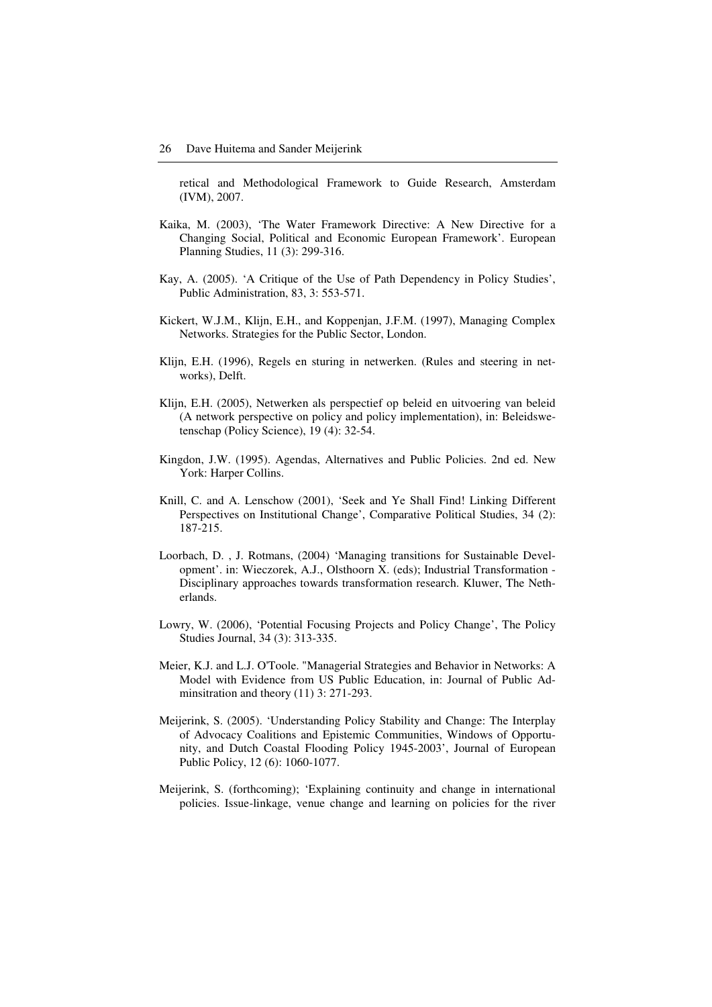retical and Methodological Framework to Guide Research, Amsterdam (IVM), 2007.

- Kaika, M. (2003), 'The Water Framework Directive: A New Directive for a Changing Social, Political and Economic European Framework'. European Planning Studies, 11 (3): 299-316.
- Kay, A. (2005). 'A Critique of the Use of Path Dependency in Policy Studies', Public Administration, 83, 3: 553-571.
- Kickert, W.J.M., Klijn, E.H., and Koppenjan, J.F.M. (1997), Managing Complex Networks. Strategies for the Public Sector, London.
- Klijn, E.H. (1996), Regels en sturing in netwerken. (Rules and steering in networks), Delft.
- Klijn, E.H. (2005), Netwerken als perspectief op beleid en uitvoering van beleid (A network perspective on policy and policy implementation), in: Beleidswetenschap (Policy Science), 19 (4): 32-54.
- Kingdon, J.W. (1995). Agendas, Alternatives and Public Policies. 2nd ed. New York: Harper Collins.
- Knill, C. and A. Lenschow (2001), 'Seek and Ye Shall Find! Linking Different Perspectives on Institutional Change', Comparative Political Studies, 34 (2): 187-215.
- Loorbach, D. , J. Rotmans, (2004) 'Managing transitions for Sustainable Development'. in: Wieczorek, A.J., Olsthoorn X. (eds); Industrial Transformation - Disciplinary approaches towards transformation research. Kluwer, The Netherlands.
- Lowry, W. (2006), 'Potential Focusing Projects and Policy Change', The Policy Studies Journal, 34 (3): 313-335.
- Meier, K.J. and L.J. O'Toole. "Managerial Strategies and Behavior in Networks: A Model with Evidence from US Public Education, in: Journal of Public Adminsitration and theory (11) 3: 271-293.
- Meijerink, S. (2005). 'Understanding Policy Stability and Change: The Interplay of Advocacy Coalitions and Epistemic Communities, Windows of Opportunity, and Dutch Coastal Flooding Policy 1945-2003', Journal of European Public Policy, 12 (6): 1060-1077.
- Meijerink, S. (forthcoming); 'Explaining continuity and change in international policies. Issue-linkage, venue change and learning on policies for the river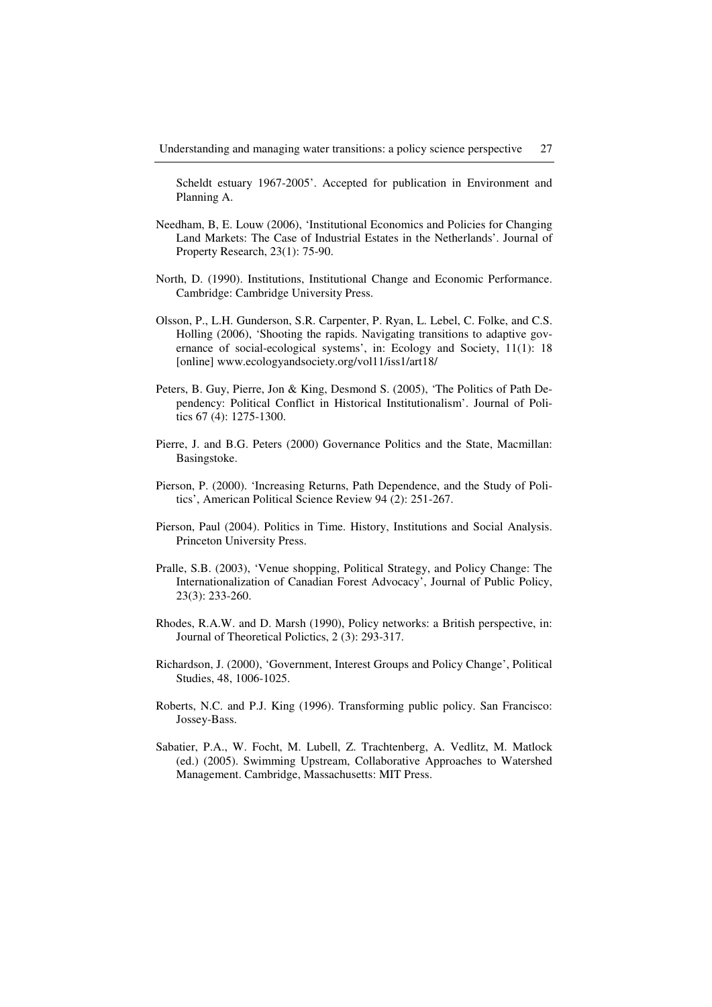Scheldt estuary 1967-2005'. Accepted for publication in Environment and Planning A.

- Needham, B, E. Louw (2006), 'Institutional Economics and Policies for Changing Land Markets: The Case of Industrial Estates in the Netherlands'. Journal of Property Research, 23(1): 75-90.
- North, D. (1990). Institutions, Institutional Change and Economic Performance. Cambridge: Cambridge University Press.
- Olsson, P., L.H. Gunderson, S.R. Carpenter, P. Ryan, L. Lebel, C. Folke, and C.S. Holling (2006), 'Shooting the rapids. Navigating transitions to adaptive governance of social-ecological systems', in: Ecology and Society, 11(1): 18 [online] www.ecologyandsociety.org/vol11/iss1/art18/
- Peters, B. Guy, Pierre, Jon & King, Desmond S. (2005), 'The Politics of Path Dependency: Political Conflict in Historical Institutionalism'. Journal of Politics 67 (4): 1275-1300.
- Pierre, J. and B.G. Peters (2000) Governance Politics and the State, Macmillan: Basingstoke.
- Pierson, P. (2000). 'Increasing Returns, Path Dependence, and the Study of Politics', American Political Science Review 94 (2): 251-267.
- Pierson, Paul (2004). Politics in Time. History, Institutions and Social Analysis. Princeton University Press.
- Pralle, S.B. (2003), 'Venue shopping, Political Strategy, and Policy Change: The Internationalization of Canadian Forest Advocacy', Journal of Public Policy, 23(3): 233-260.
- Rhodes, R.A.W. and D. Marsh (1990), Policy networks: a British perspective, in: Journal of Theoretical Polictics, 2 (3): 293-317.
- Richardson, J. (2000), 'Government, Interest Groups and Policy Change', Political Studies, 48, 1006-1025.
- Roberts, N.C. and P.J. King (1996). Transforming public policy. San Francisco: Jossey-Bass.
- Sabatier, P.A., W. Focht, M. Lubell, Z. Trachtenberg, A. Vedlitz, M. Matlock (ed.) (2005). Swimming Upstream, Collaborative Approaches to Watershed Management. Cambridge, Massachusetts: MIT Press.